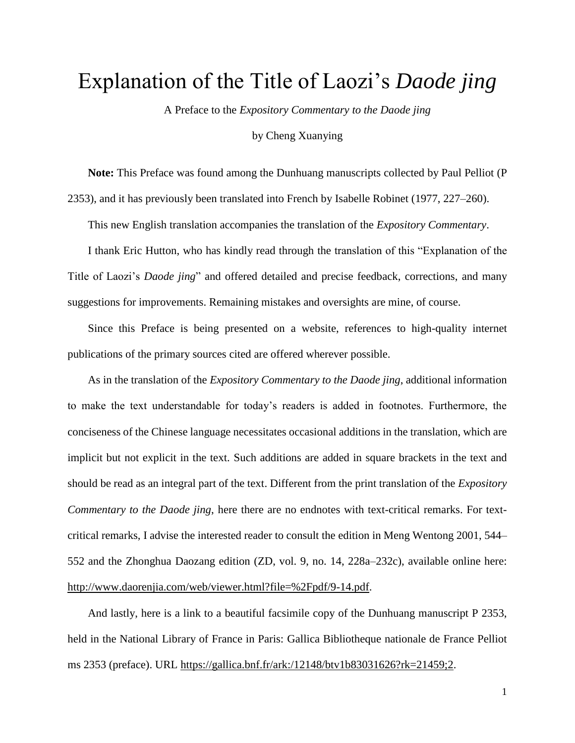## Explanation of the Title of Laozi's *Daode jing*

A Preface to the *Expository Commentary to the Daode jing*

by Cheng Xuanying

**Note:** This Preface was found among the Dunhuang manuscripts collected by Paul Pelliot (P 2353), and it has previously been translated into French by Isabelle Robinet (1977, 227–260).

This new English translation accompanies the translation of the *Expository Commentary*.

I thank Eric Hutton, who has kindly read through the translation of this "Explanation of the Title of Laozi's *Daode jing*" and offered detailed and precise feedback, corrections, and many suggestions for improvements. Remaining mistakes and oversights are mine, of course.

Since this Preface is being presented on a website, references to high-quality internet publications of the primary sources cited are offered wherever possible.

As in the translation of the *Expository Commentary to the Daode jing*, additional information to make the text understandable for today's readers is added in footnotes. Furthermore, the conciseness of the Chinese language necessitates occasional additions in the translation, which are implicit but not explicit in the text. Such additions are added in square brackets in the text and should be read as an integral part of the text. Different from the print translation of the *Expository Commentary to the Daode jing*, here there are no endnotes with text-critical remarks. For textcritical remarks, I advise the interested reader to consult the edition in Meng Wentong 2001, 544– 552 and the Zhonghua Daozang edition (ZD, vol. 9, no. 14, 228a–232c), available online here: [http://www.daorenjia.com/web/viewer.html?file=%2Fpdf/9-14.pdf.](http://www.daorenjia.com/web/viewer.html?file=%2Fpdf/9-14.pdf)

And lastly, here is a link to a beautiful facsimile copy of the Dunhuang manuscript P 2353, held in the National Library of France in Paris: Gallica Bibliotheque nationale de France Pelliot ms 2353 (preface). URL [https://gallica.bnf.fr/ark:/12148/btv1b83031626?rk=21459;2.](https://gallica.bnf.fr/ark:/12148/btv1b83031626?rk=21459;2)

1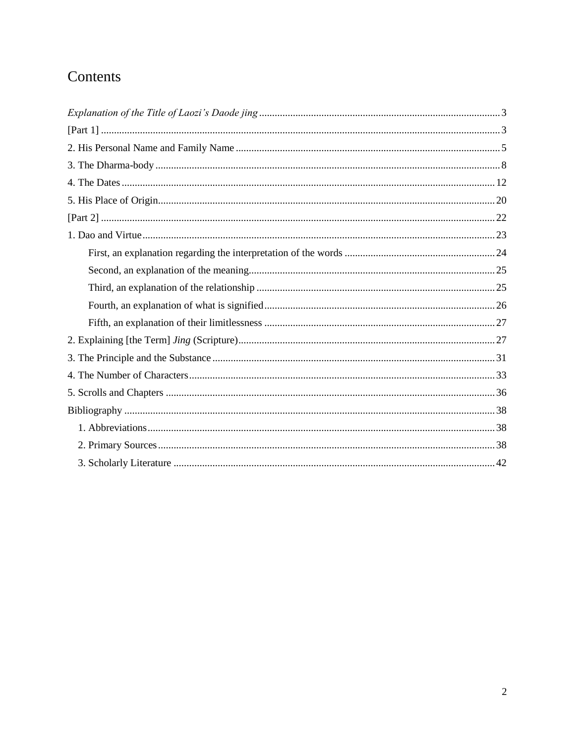### Contents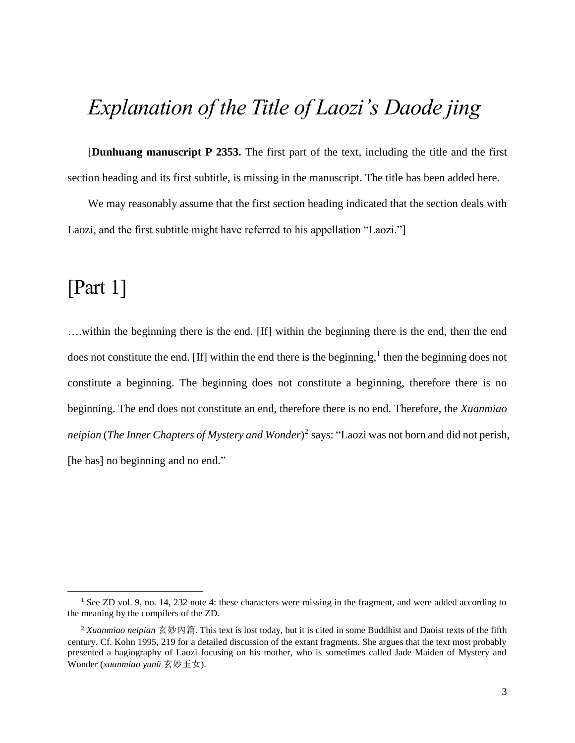# <span id="page-2-0"></span>*Explanation of the Title of Laozi's Daode jing*

[**Dunhuang manuscript P 2353.** The first part of the text, including the title and the first section heading and its first subtitle, is missing in the manuscript. The title has been added here.

We may reasonably assume that the first section heading indicated that the section deals with Laozi, and the first subtitle might have referred to his appellation "Laozi."]

## <span id="page-2-1"></span>[Part 1]

 $\overline{\phantom{a}}$ 

….within the beginning there is the end. [If] within the beginning there is the end, then the end does not constitute the end. [If] within the end there is the beginning,<sup>1</sup> then the beginning does not constitute a beginning. The beginning does not constitute a beginning, therefore there is no beginning. The end does not constitute an end, therefore there is no end. Therefore, the *Xuanmiao neipian* (*The Inner Chapters of Mystery and Wonder*) 2 says: "Laozi was not born and did not perish, [he has] no beginning and no end."

<sup>&</sup>lt;sup>1</sup> See ZD vol. 9, no. 14, 232 note 4: these characters were missing in the fragment, and were added according to the meaning by the compilers of the ZD.

<sup>2</sup> *Xuanmiao neipian* 玄妙內篇. This text is lost today, but it is cited in some Buddhist and Daoist texts of the fifth century. Cf. Kohn 1995, 219 for a detailed discussion of the extant fragments. She argues that the text most probably presented a hagiography of Laozi focusing on his mother, who is sometimes called Jade Maiden of Mystery and Wonder (*xuanmiao yunü* 玄妙玉女).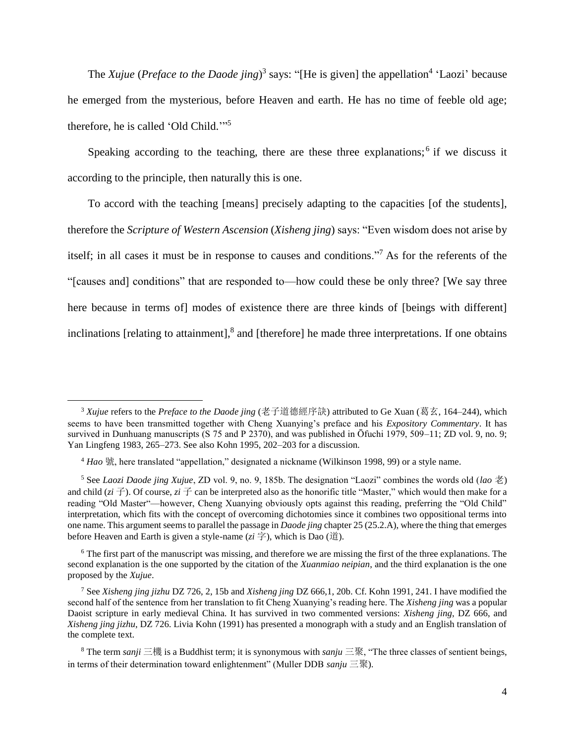The *Xujue* (*Preface to the Daode jing*)<sup>3</sup> says: "[He is given] the appellation<sup>4</sup> 'Laozi' because he emerged from the mysterious, before Heaven and earth. He has no time of feeble old age; therefore, he is called 'Old Child.'" 5

Speaking according to the teaching, there are these three explanations; $<sup>6</sup>$  if we discuss it</sup> according to the principle, then naturally this is one.

To accord with the teaching [means] precisely adapting to the capacities [of the students], therefore the *Scripture of Western Ascension* (*Xisheng jing*) says: "Even wisdom does not arise by itself; in all cases it must be in response to causes and conditions."<sup>7</sup> As for the referents of the "[causes and] conditions" that are responded to—how could these be only three? [We say three here because in terms of modes of existence there are three kinds of [beings with different] inclinations [relating to attainment], $<sup>8</sup>$  and [therefore] he made three interpretations. If one obtains</sup>

 $\overline{a}$ 

 $6$  The first part of the manuscript was missing, and therefore we are missing the first of the three explanations. The second explanation is the one supported by the citation of the *Xuanmiao neipian*, and the third explanation is the one proposed by the *Xujue*.

<sup>3</sup> *Xujue* refers to the *Preface to the Daode jing* (老子道德經序訣) attributed to Ge Xuan (葛玄, 164–244), which seems to have been transmitted together with Cheng Xuanying's preface and his *Expository Commentary*. It has survived in Dunhuang manuscripts (S 75 and P 2370), and was published in Ōfuchi 1979, 509–11; ZD vol. 9, no. 9; Yan Lingfeng 1983, 265–273. See also Kohn 1995, 202–203 for a discussion.

<sup>4</sup> *Hao* 號, here translated "appellation," designated a nickname (Wilkinson 1998, 99) or a style name.

<sup>5</sup> See *Laozi Daode jing Xujue*, ZD vol. 9, no. 9, 185b. The designation "Laozi" combines the words old (*lao* 老) and child ( $zi \neq j$ ). Of course,  $zi \neq j$  can be interpreted also as the honorific title "Master," which would then make for a reading "Old Master"—however, Cheng Xuanying obviously opts against this reading, preferring the "Old Child" interpretation, which fits with the concept of overcoming dichotomies since it combines two oppositional terms into one name. This argument seems to parallel the passage in *Daode jing* chapter 25 (25.2.A), where the thing that emerges before Heaven and Earth is given a style-name (*zi* 字), which is Dao (道).

<sup>7</sup> See *Xisheng jing jizhu* DZ 726, 2, 15b and *Xisheng jing* DZ 666,1, 20b. Cf. Kohn 1991, 241. I have modified the second half of the sentence from her translation to fit Cheng Xuanying's reading here. The *Xisheng jing* was a popular Daoist scripture in early medieval China. It has survived in two commented versions: *Xisheng jing*, DZ 666, and *Xisheng jing jizhu*, DZ 726. Livia Kohn (1991) has presented a monograph with a study and an English translation of the complete text.

<sup>8</sup> The term *sanji* 三機 is a Buddhist term; it is synonymous with *sanju* 三聚, "The three classes of sentient beings, in terms of their determination toward enlightenment" (Muller DDB *sanju* 三聚).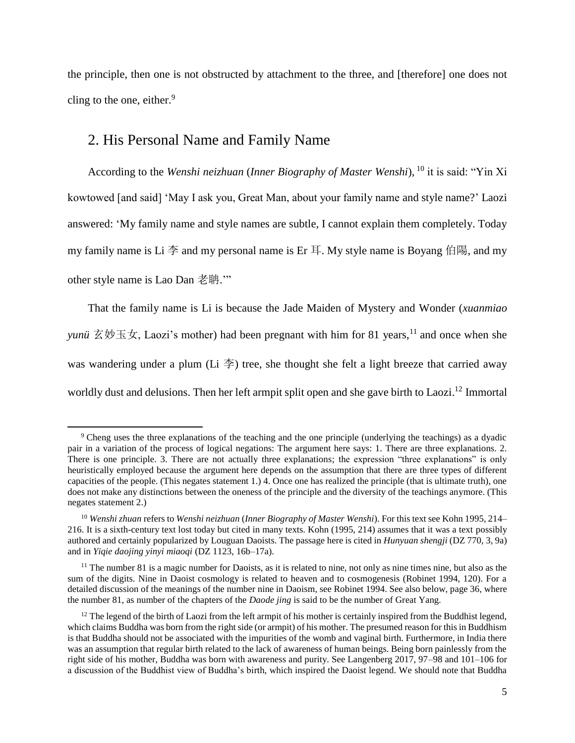the principle, then one is not obstructed by attachment to the three, and [therefore] one does not cling to the one, either. 9

### <span id="page-4-0"></span>2. His Personal Name and Family Name

 $\overline{\phantom{a}}$ 

According to the *Wenshi neizhuan* (*Inner Biography of Master Wenshi*), <sup>10</sup> it is said: "Yin Xi kowtowed [and said] 'May I ask you, Great Man, about your family name and style name?' Laozi answered: 'My family name and style names are subtle, I cannot explain them completely. Today my family name is Li 李 and my personal name is Er 耳. My style name is Boyang 伯陽, and my other style name is Lao Dan 老聃.'"

That the family name is Li is because the Jade Maiden of Mystery and Wonder (*xuanmiao yunü*  $\overline{\mathcal{Z}}$   $\overline{\mathcal{Y}}$   $\overline{\mathcal{Z}}$   $\overline{\mathcal{Y}}$ , Laozi's mother) had been pregnant with him for 81 years, <sup>11</sup> and once when she was wandering under a plum (Li  $\ddot{\oplus}$ ) tree, she thought she felt a light breeze that carried away worldly dust and delusions. Then her left armpit split open and she gave birth to Laozi.<sup>12</sup> Immortal

<sup>9</sup> Cheng uses the three explanations of the teaching and the one principle (underlying the teachings) as a dyadic pair in a variation of the process of logical negations: The argument here says: 1. There are three explanations. 2. There is one principle. 3. There are not actually three explanations; the expression "three explanations" is only heuristically employed because the argument here depends on the assumption that there are three types of different capacities of the people. (This negates statement 1.) 4. Once one has realized the principle (that is ultimate truth), one does not make any distinctions between the oneness of the principle and the diversity of the teachings anymore. (This negates statement 2.)

<sup>10</sup> *Wenshi zhuan* refers to *Wenshi neizhuan* (*Inner Biography of Master Wenshi*). For this text see Kohn 1995, 214– 216. It is a sixth-century text lost today but cited in many texts. Kohn (1995, 214) assumes that it was a text possibly authored and certainly popularized by Louguan Daoists. The passage here is cited in *Hunyuan shengji* (DZ 770, 3, 9a) and in *Yiqie daojing yinyi miaoqi* (DZ 1123, 16b–17a).

 $11$  The number 81 is a magic number for Daoists, as it is related to nine, not only as nine times nine, but also as the sum of the digits. Nine in Daoist cosmology is related to heaven and to cosmogenesis (Robinet 1994, 120). For a detailed discussion of the meanings of the number nine in Daoism, see Robinet 1994. See also below, page 36, where the number 81, as number of the chapters of the *Daode jing* is said to be the number of Great Yang.

 $12$  The legend of the birth of Laozi from the left armpit of his mother is certainly inspired from the Buddhist legend, which claims Buddha was born from the right side (or armpit) of his mother. The presumed reason for this in Buddhism is that Buddha should not be associated with the impurities of the womb and vaginal birth. Furthermore, in India there was an assumption that regular birth related to the lack of awareness of human beings. Being born painlessly from the right side of his mother, Buddha was born with awareness and purity. See Langenberg 2017, 97–98 and 101–106 for a discussion of the Buddhist view of Buddha's birth, which inspired the Daoist legend. We should note that Buddha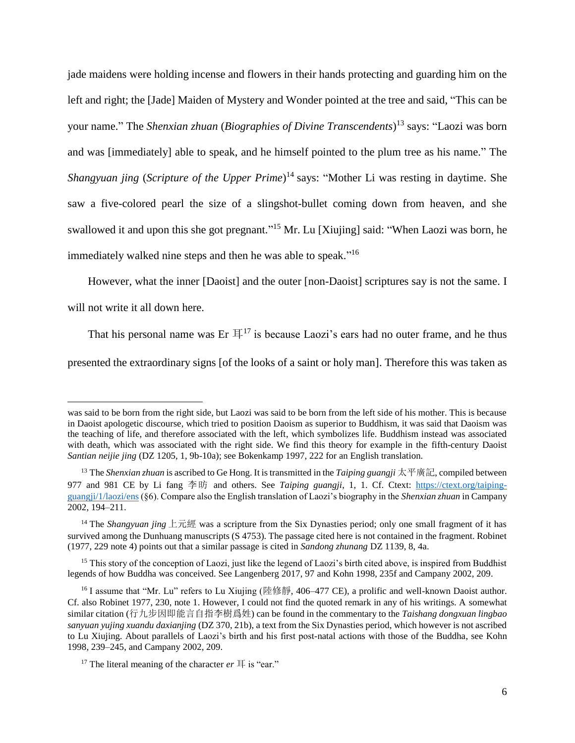jade maidens were holding incense and flowers in their hands protecting and guarding him on the left and right; the [Jade] Maiden of Mystery and Wonder pointed at the tree and said, "This can be your name." The *Shenxian zhuan* (*Biographies of Divine Transcendents*) <sup>13</sup> says: "Laozi was born and was [immediately] able to speak, and he himself pointed to the plum tree as his name." The *Shangyuan jing* (*Scripture of the Upper Prime*) <sup>14</sup> says: "Mother Li was resting in daytime. She saw a five-colored pearl the size of a slingshot-bullet coming down from heaven, and she swallowed it and upon this she got pregnant."<sup>15</sup> Mr. Lu [Xiujing] said: "When Laozi was born, he immediately walked nine steps and then he was able to speak."<sup>16</sup>

However, what the inner [Daoist] and the outer [non-Daoist] scriptures say is not the same. I will not write it all down here.

That his personal name was Er  $\mathbb{H}^{17}$  is because Laozi's ears had no outer frame, and he thus

presented the extraordinary signs [of the looks of a saint or holy man]. Therefore this was taken as

was said to be born from the right side, but Laozi was said to be born from the left side of his mother. This is because in Daoist apologetic discourse, which tried to position Daoism as superior to Buddhism, it was said that Daoism was the teaching of life, and therefore associated with the left, which symbolizes life. Buddhism instead was associated with death, which was associated with the right side. We find this theory for example in the fifth-century Daoist *Santian neijie jing* (DZ 1205, 1, 9b-10a); see Bokenkamp 1997, 222 for an English translation.

<sup>13</sup> The *Shenxian zhuan* is ascribed to Ge Hong. It is transmitted in the *Taiping guangji* 太平廣記, compiled between 977 and 981 CE by Li fang 李昉 and others. See *Taiping guangji*, 1, 1. Cf. Ctext: [https://ctext.org/taiping](https://ctext.org/taiping-guangji/1/laozi/ens)[guangji/1/laozi/ens](https://ctext.org/taiping-guangji/1/laozi/ens) (§6). Compare also the English translation of Laozi's biography in the *Shenxian zhuan* in Campany 2002, 194–211.

<sup>14</sup> The *Shangyuan jing* 上元經 was a scripture from the Six Dynasties period; only one small fragment of it has survived among the Dunhuang manuscripts (S 4753). The passage cited here is not contained in the fragment. Robinet (1977, 229 note 4) points out that a similar passage is cited in *Sandong zhunang* DZ 1139, 8, 4a.

<sup>&</sup>lt;sup>15</sup> This story of the conception of Laozi, just like the legend of Laozi's birth cited above, is inspired from Buddhist legends of how Buddha was conceived. See Langenberg 2017, 97 and Kohn 1998, 235f and Campany 2002, 209.

<sup>&</sup>lt;sup>16</sup> I assume that "Mr. Lu" refers to Lu Xiujing (陸修靜, 406–477 CE), a prolific and well-known Daoist author. Cf. also Robinet 1977, 230, note 1. However, I could not find the quoted remark in any of his writings. A somewhat similar citation (行九步因即能言自指李樹爲姓) can be found in the commentary to the *Taishang dongxuan lingbao sanyuan yujing xuandu daxianjing* (DZ 370, 21b), a text from the Six Dynasties period, which however is not ascribed to Lu Xiujing. About parallels of Laozi's birth and his first post-natal actions with those of the Buddha, see Kohn 1998, 239–245, and Campany 2002, 209.

<sup>&</sup>lt;sup>17</sup> The literal meaning of the character  $er \nightharpoonup$  is "ear."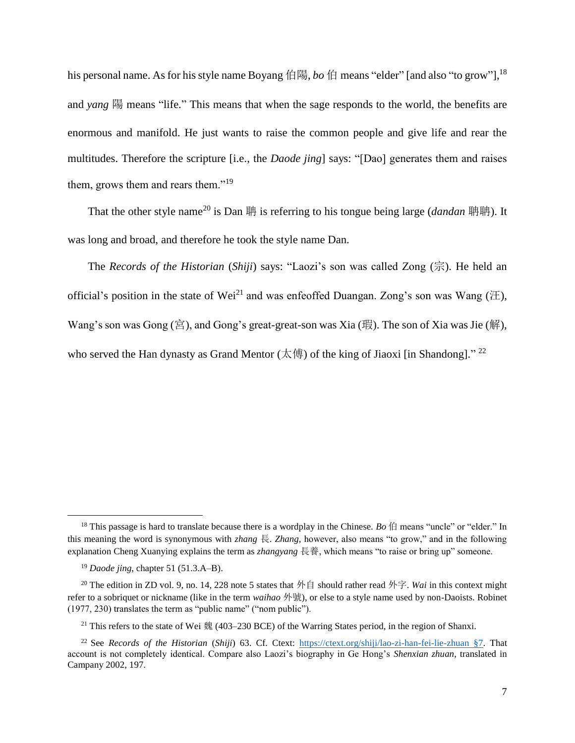his personal name. As for his style name Boyang 伯陽, *bo* 伯 means "elder" [and also "to grow"], 18 and *yang* 陽 means "life." This means that when the sage responds to the world, the benefits are enormous and manifold. He just wants to raise the common people and give life and rear the multitudes. Therefore the scripture [i.e., the *Daode jing*] says: "[Dao] generates them and raises them, grows them and rears them."<sup>19</sup>

That the other style name<sup>20</sup> is Dan 聃 is referring to his tongue being large (*dandan* 聃聃). It was long and broad, and therefore he took the style name Dan.

The *Records of the Historian* (*Shiji*) says: "Laozi's son was called Zong (宗). He held an official's position in the state of Wei<sup>21</sup> and was enfeoffed Duangan. Zong's son was Wang ( $\pm$ ). Wang's son was Gong (宮), and Gong's great-great-son was Xia (瑕). The son of Xia was Jie (解), who served the Han dynasty as Grand Mentor (太傅) of the king of Jiaoxi [in Shandong]."<sup>22</sup>

<sup>&</sup>lt;sup>18</sup> This passage is hard to translate because there is a wordplay in the Chinese. *Bo*  $\sharp$  means "uncle" or "elder." In this meaning the word is synonymous with *zhang* 長. *Zhang*, however, also means "to grow," and in the following explanation Cheng Xuanying explains the term as *zhangyang* 長養, which means "to raise or bring up" someone.

<sup>19</sup> *Daode jing*, chapter 51 (51.3.A–B).

<sup>&</sup>lt;sup>20</sup> The edition in ZD vol. 9, no. 14, 228 note 5 states that 外自 should rather read 外字. *Wai* in this context might refer to a sobriquet or nickname (like in the term *waihao* 外號), or else to a style name used by non-Daoists. Robinet (1977, 230) translates the term as "public name" ("nom public").

<sup>21</sup> This refers to the state of Wei 魏 (403–230 BCE) of the Warring States period, in the region of Shanxi.

<sup>22</sup> See *Records of the Historian* (*Shiji*) 63. Cf. Ctext: [https://ctext.org/shiji/lao-zi-han-fei-lie-zhuan §7.](https://ctext.org/shiji/lao-zi-han-fei-lie-zhuan%20§7) That account is not completely identical. Compare also Laozi's biography in Ge Hong's *Shenxian zhuan*, translated in Campany 2002, 197.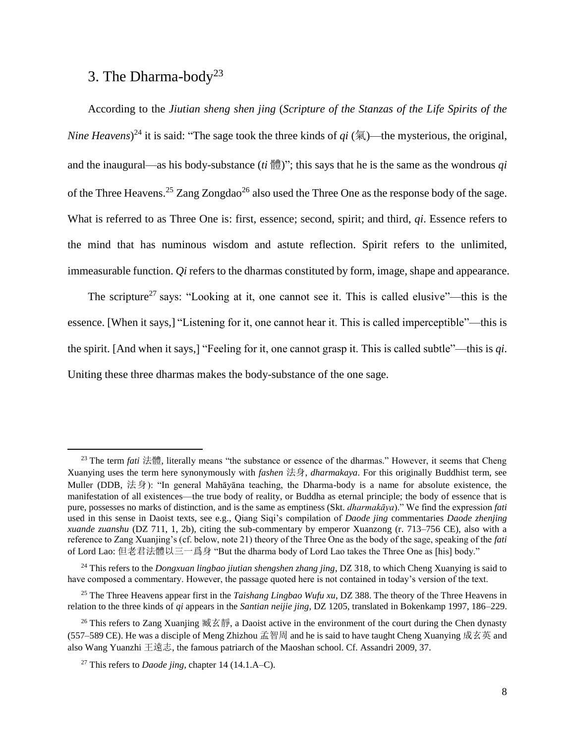### <span id="page-7-1"></span><span id="page-7-0"></span>3. The Dharma-body<sup>23</sup>

According to the *Jiutian sheng shen jing* (*Scripture of the Stanzas of the Life Spirits of the Nine Heavens*) <sup>24</sup> it is said: "The sage took the three kinds of *qi* (氣)—the mysterious, the original, and the inaugural—as his body-substance (*ti* 體)"; this says that he is the same as the wondrous *qi* of the Three Heavens.<sup>25</sup> Zang Zongdao<sup>26</sup> also used the Three One as the response body of the sage. What is referred to as Three One is: first, essence; second, spirit; and third, *qi*. Essence refers to the mind that has numinous wisdom and astute reflection. Spirit refers to the unlimited, immeasurable function. *Qi* refers to the dharmas constituted by form, image, shape and appearance.

The scripture<sup>27</sup> says: "Looking at it, one cannot see it. This is called elusive"—this is the essence. [When it says,] "Listening for it, one cannot hear it. This is called imperceptible"—this is the spirit. [And when it says,] "Feeling for it, one cannot grasp it. This is called subtle"—this is *qi*. Uniting these three dharmas makes the body-substance of the one sage.

<sup>23</sup> The term *fati* 法體, literally means "the substance or essence of the dharmas." However, it seems that Cheng Xuanying uses the term here synonymously with *fashen* 法身, *dharmakaya*. For this originally Buddhist term, see Muller (DDB, 法身): "In general Mahāyāna teaching, the Dharma-body is a name for absolute existence, the manifestation of all existences—the true body of reality, or Buddha as eternal principle; the body of essence that is pure, possesses no marks of distinction, and is the same as emptiness (Skt. *dharmakāya*)." We find the expression *fati* used in this sense in Daoist texts, see e.g., Qiang Siqi's compilation of *Daode jing* commentaries *Daode zhenjing xuande zuanshu* (DZ 711, 1, 2b), citing the sub-commentary by emperor Xuanzong (r. 713–756 CE), also with a reference to Zang Xuanjing's (cf. below, note 21) theory of the Three One as the body of the sage, speaking of the *fati* of Lord Lao: 但老君法體以三一爲身 "But the dharma body of Lord Lao takes the Three One as [his] body."

<sup>24</sup> This refers to the *Dongxuan lingbao jiutian shengshen zhang jing*, DZ 318, to which Cheng Xuanying is said to have composed a commentary. However, the passage quoted here is not contained in today's version of the text.

<sup>25</sup> The Three Heavens appear first in the *Taishang Lingbao Wufu xu*, DZ 388. The theory of the Three Heavens in relation to the three kinds of *qi* appears in the *Santian neijie jing*, DZ 1205, translated in Bokenkamp 1997, 186–229.

<sup>&</sup>lt;sup>26</sup> This refers to Zang Xuanjing 臧玄靜, a Daoist active in the environment of the court during the Chen dynasty (557–589 CE). He was a disciple of Meng Zhizhou 孟智周 and he is said to have taught Cheng Xuanying 成玄英 and also Wang Yuanzhi 王遠志, the famous patriarch of the Maoshan school. Cf. Assandri 2009, 37.

<sup>27</sup> This refers to *Daode jing*, chapter 14 (14.1.A–C).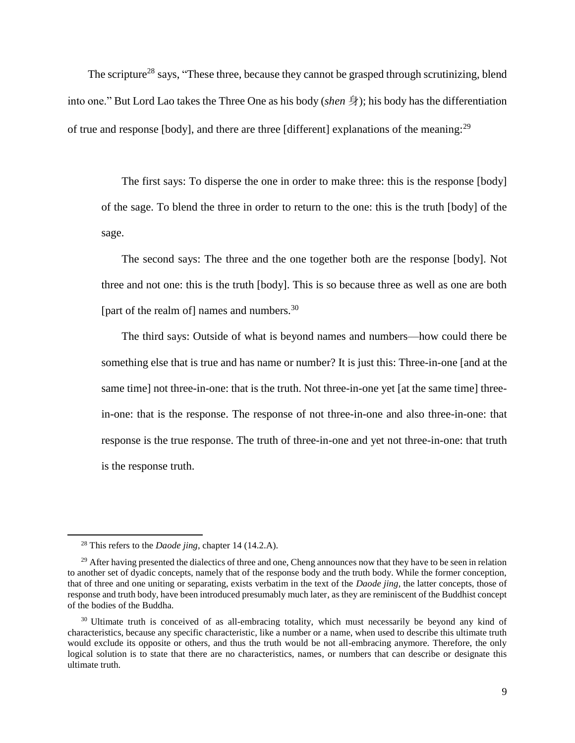The scripture<sup>28</sup> says, "These three, because they cannot be grasped through scrutinizing, blend into one." But Lord Lao takes the Three One as his body (*shen* 身); his body has the differentiation of true and response [body], and there are three [different] explanations of the meaning:<sup>29</sup>

The first says: To disperse the one in order to make three: this is the response [body] of the sage. To blend the three in order to return to the one: this is the truth [body] of the sage.

The second says: The three and the one together both are the response [body]. Not three and not one: this is the truth [body]. This is so because three as well as one are both [part of the realm of] names and numbers. $^{30}$ 

The third says: Outside of what is beyond names and numbers—how could there be something else that is true and has name or number? It is just this: Three-in-one [and at the same time] not three-in-one: that is the truth. Not three-in-one yet [at the same time] threein-one: that is the response. The response of not three-in-one and also three-in-one: that response is the true response. The truth of three-in-one and yet not three-in-one: that truth is the response truth.

l

<sup>28</sup> This refers to the *Daode jing*, chapter 14 (14.2.A).

 $29$  After having presented the dialectics of three and one. Cheng announces now that they have to be seen in relation to another set of dyadic concepts, namely that of the response body and the truth body. While the former conception, that of three and one uniting or separating, exists verbatim in the text of the *Daode jing*, the latter concepts, those of response and truth body, have been introduced presumably much later, as they are reminiscent of the Buddhist concept of the bodies of the Buddha.

<sup>&</sup>lt;sup>30</sup> Ultimate truth is conceived of as all-embracing totality, which must necessarily be beyond any kind of characteristics, because any specific characteristic, like a number or a name, when used to describe this ultimate truth would exclude its opposite or others, and thus the truth would be not all-embracing anymore. Therefore, the only logical solution is to state that there are no characteristics, names, or numbers that can describe or designate this ultimate truth.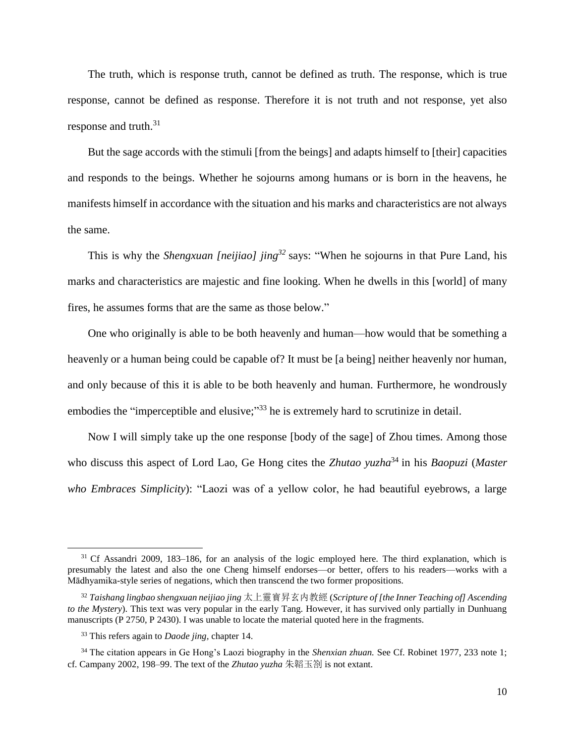The truth, which is response truth, cannot be defined as truth. The response, which is true response, cannot be defined as response. Therefore it is not truth and not response, yet also response and truth.<sup>31</sup>

But the sage accords with the stimuli [from the beings] and adapts himself to [their] capacities and responds to the beings. Whether he sojourns among humans or is born in the heavens, he manifests himself in accordance with the situation and his marks and characteristics are not always the same.

This is why the *Shengxuan [neijiao] jing<sup>32</sup>* says: "When he sojourns in that Pure Land, his marks and characteristics are majestic and fine looking. When he dwells in this [world] of many fires, he assumes forms that are the same as those below."

One who originally is able to be both heavenly and human—how would that be something a heavenly or a human being could be capable of? It must be [a being] neither heavenly nor human, and only because of this it is able to be both heavenly and human. Furthermore, he wondrously embodies the "imperceptible and elusive;"<sup>33</sup> he is extremely hard to scrutinize in detail.

Now I will simply take up the one response [body of the sage] of Zhou times. Among those who discuss this aspect of Lord Lao, Ge Hong cites the *Zhutao yuzha*<sup>34</sup> in his *Baopuzi* (*Master who Embraces Simplicity*): "Laozi was of a yellow color, he had beautiful eyebrows, a large

<sup>&</sup>lt;sup>31</sup> Cf Assandri 2009, 183-186, for an analysis of the logic employed here. The third explanation, which is presumably the latest and also the one Cheng himself endorses—or better, offers to his readers—works with a Mādhyamika-style series of negations, which then transcend the two former propositions.

<sup>32</sup> *Taishang lingbao shengxuan neijiao jing* 太上靈寳昇玄内教經 (*Scripture of [the Inner Teaching of] Ascending to the Mystery*). This text was very popular in the early Tang. However, it has survived only partially in Dunhuang manuscripts (P 2750, P 2430). I was unable to locate the material quoted here in the fragments.

<sup>33</sup> This refers again to *Daode jing,* chapter 14.

<sup>34</sup> The citation appears in Ge Hong's Laozi biography in the *Shenxian zhuan.* See Cf. Robinet 1977, 233 note 1; cf. Campany 2002, 198–99. The text of the *Zhutao yuzha* 朱韜玉劄 is not extant.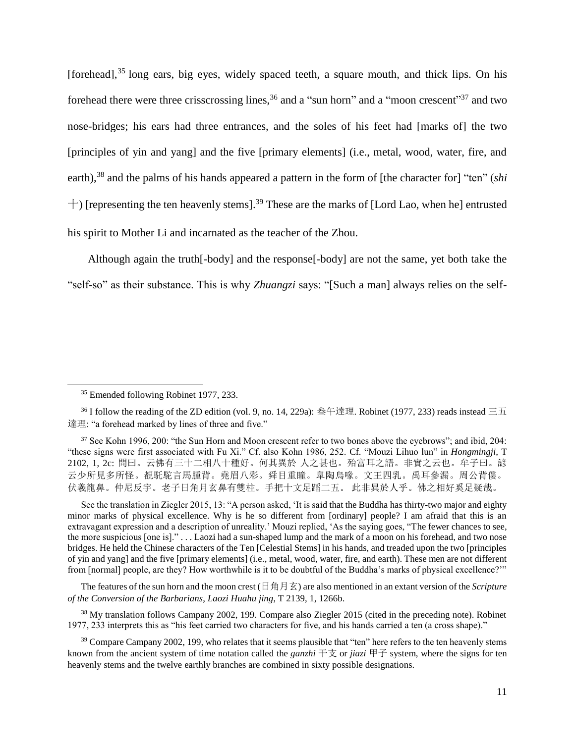[forehead],<sup>35</sup> long ears, big eyes, widely spaced teeth, a square mouth, and thick lips. On his forehead there were three crisscrossing lines,  $36$  and a "sun horn" and a "moon crescent" and two nose-bridges; his ears had three entrances, and the soles of his feet had [marks of] the two [principles of yin and yang] and the five [primary elements] (i.e., metal, wood, water, fire, and earth),<sup>38</sup> and the palms of his hands appeared a pattern in the form of [the character for] "ten" (*shi*  $+$ ) [representing the ten heavenly stems].<sup>39</sup> These are the marks of [Lord Lao, when he] entrusted his spirit to Mother Li and incarnated as the teacher of the Zhou.

Although again the truth[-body] and the response[-body] are not the same, yet both take the "self-so" as their substance. This is why *Zhuangzi* says: "[Such a man] always relies on the self-

 $\overline{\phantom{a}}$ 

See the translation in Ziegler 2015, 13: "A person asked, 'It is said that the Buddha has thirty-two major and eighty minor marks of physical excellence. Why is he so different from [ordinary] people? I am afraid that this is an extravagant expression and a description of unreality.' Mouzi replied, 'As the saying goes, "The fewer chances to see, the more suspicious [one is]." . . . Laozi had a sun-shaped lump and the mark of a moon on his forehead, and two nose bridges. He held the Chinese characters of the Ten [Celestial Stems] in his hands, and treaded upon the two [principles of yin and yang] and the five [primary elements] (i.e., metal, wood, water, fire, and earth). These men are not different from [normal] people, are they? How worthwhile is it to be doubtful of the Buddha's marks of physical excellence?'"

The features of the sun horn and the moon crest (日角月玄) are also mentioned in an extant version of the *Scripture of the Conversion of the Barbarians*, *Laozi Huahu jing*, T 2139, 1, 1266b.

<sup>38</sup> My translation follows Campany 2002, 199. Compare also Ziegler 2015 (cited in the preceding note). Robinet 1977, 233 interprets this as "his feet carried two characters for five, and his hands carried a ten (a cross shape)."

<sup>39</sup> Compare Campany 2002, 199, who relates that it seems plausible that "ten" here refers to the ten heavenly stems known from the ancient system of time notation called the *ganzhi* 干支 or *jiazi* 甲子 system, where the signs for ten heavenly stems and the twelve earthly branches are combined in sixty possible designations.

<sup>35</sup> Emended following Robinet 1977, 233.

 $36$  I follow the reading of the ZD edition (vol. 9, no. 14, 229a): 叁午達理. Robinet (1977, 233) reads instead 三五 達理: "a forehead marked by lines of three and five."

<sup>&</sup>lt;sup>37</sup> See Kohn 1996, 200: "the Sun Horn and Moon crescent refer to two bones above the eyebrows"; and ibid, 204: "these signs were first associated with Fu Xi." Cf. also Kohn 1986, 252. Cf. "Mouzi Lihuo lun" in *Hongmingji*, T 2102, 1, 2c: 問曰。云佛有三十二相八十種好。何其異於 人之甚也。殆富耳之語。非實之云也。牟子曰。諺 云少所見多所怪。覩馲駝言馬腫背。堯眉八彩。舜目重瞳。臯陶烏喙。文王四乳。禹耳參漏。周公背僂。 伏羲龍鼻。仲尼反宇。老子日角月玄鼻有雙柱。手把十文足蹈二五。 此非異於人乎。佛之相好奚足疑哉。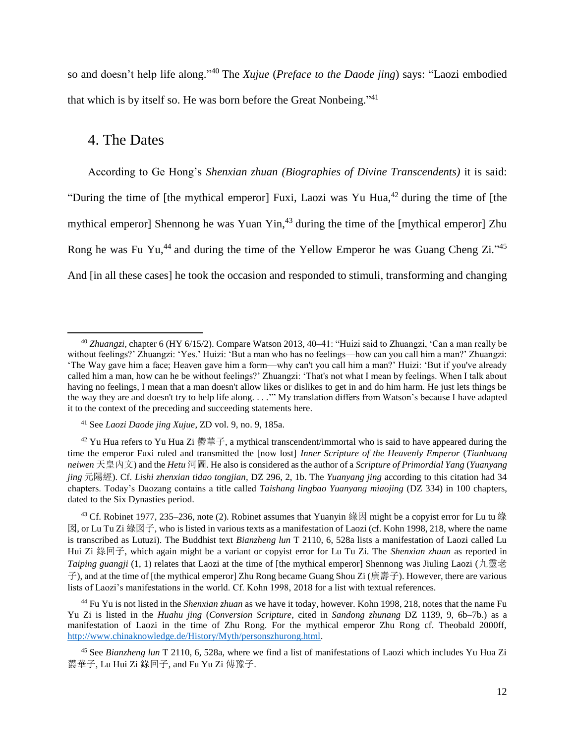so and doesn't help life along." <sup>40</sup> The *Xujue* (*Preface to the Daode jing*) says: "Laozi embodied that which is by itself so. He was born before the Great Nonbeing."<sup>41</sup>

#### <span id="page-11-0"></span>4. The Dates

 $\overline{a}$ 

According to Ge Hong's *Shenxian zhuan (Biographies of Divine Transcendents)* it is said: "During the time of [the mythical emperor] Fuxi, Laozi was Yu Hua,  $42$  during the time of [the mythical emperor] Shennong he was Yuan Yin, $43$  during the time of the [mythical emperor] Zhu Rong he was Fu Yu,<sup>44</sup> and during the time of the Yellow Emperor he was Guang Cheng Zi."<sup>45</sup> And [in all these cases] he took the occasion and responded to stimuli, transforming and changing

<sup>40</sup> *Zhuangzi,* chapter 6 (HY 6/15/2). Compare Watson 2013, 40–41: "Huizi said to Zhuangzi, 'Can a man really be without feelings?' Zhuangzi: 'Yes.' Huizi: 'But a man who has no feelings—how can you call him a man?' Zhuangzi: 'The Way gave him a face; Heaven gave him a form—why can't you call him a man?' Huizi: 'But if you've already called him a man, how can he be without feelings?' Zhuangzi: 'That's not what I mean by feelings. When I talk about having no feelings, I mean that a man doesn't allow likes or dislikes to get in and do him harm. He just lets things be the way they are and doesn't try to help life along. . . .'" My translation differs from Watson's because I have adapted it to the context of the preceding and succeeding statements here.

<sup>41</sup> See *Laozi Daode jing Xujue*, ZD vol. 9, no. 9, 185a.

<sup>&</sup>lt;sup>42</sup> Yu Hua refers to Yu Hua Zi 鬱華子, a mythical transcendent/immortal who is said to have appeared during the time the emperor Fuxi ruled and transmitted the [now lost] *Inner Scripture of the Heavenly Emperor* (*Tianhuang neiwen* 天皇內文) and the *Hetu* 河圖. He also is considered as the author of a *Scripture of Primordial Yang* (*Yuanyang jing* 元陽經). Cf. *Lishi zhenxian tidao tongjian*, DZ 296, 2, 1b. The *Yuanyang jing* according to this citation had 34 chapters. Today's Daozang contains a title called *Taishang lingbao Yuanyang miaojing* (DZ 334) in 100 chapters, dated to the Six Dynasties period.

<sup>&</sup>lt;sup>43</sup> Cf. Robinet 1977, 235–236, note (2). Robinet assumes that Yuanyin 緣因 might be a copyist error for Lu tu 綠  $\mathbb{Z}$ , or Lu Tu Zi 綠図子, who is listed in various texts as a manifestation of Laozi (cf. Kohn 1998, 218, where the name is transcribed as Lutuzi). The Buddhist text *Bianzheng lun* T 2110, 6, 528a lists a manifestation of Laozi called Lu Hui Zi 錄回子, which again might be a variant or copyist error for Lu Tu Zi. The *Shenxian zhuan* as reported in *Taiping guangji* (1, 1) relates that Laozi at the time of [the mythical emperor] Shennong was Jiuling Laozi (九靈老 子), and at the time of [the mythical emperor] Zhu Rong became Guang Shou Zi (廣壽子). However, there are various lists of Laozi's manifestations in the world. Cf. Kohn 1998, 2018 for a list with textual references.

<sup>44</sup> Fu Yu is not listed in the *Shenxian zhuan* as we have it today, however. Kohn 1998, 218, notes that the name Fu Yu Zi is listed in the *Huahu jing* (*Conversion Scripture*, cited in *Sandong zhunang* DZ 1139, 9, 6b–7b.) as a manifestation of Laozi in the time of Zhu Rong. For the mythical emperor Zhu Rong cf. Theobald 2000ff, [http://www.chinaknowledge.de/History/Myth/personszhurong.html.](http://www.chinaknowledge.de/History/Myth/personszhurong.html)

<sup>45</sup> See *Bianzheng lun* T 2110, 6, 528a, where we find a list of manifestations of Laozi which includes Yu Hua Zi 欝華子, Lu Hui Zi 錄回子, and Fu Yu Zi 傅豫子.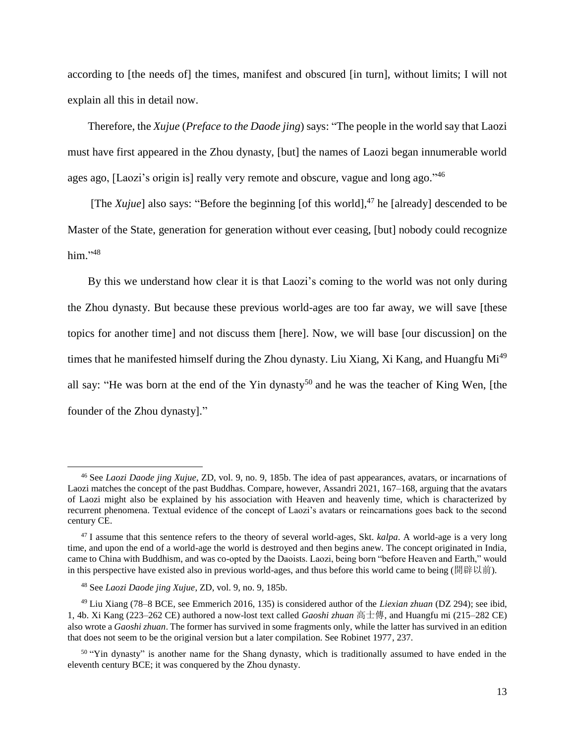according to [the needs of] the times, manifest and obscured [in turn], without limits; I will not explain all this in detail now.

Therefore, the *Xujue* (*Preface to the Daode jing*) says: "The people in the world say that Laozi must have first appeared in the Zhou dynasty, [but] the names of Laozi began innumerable world ages ago, [Laozi's origin is] really very remote and obscure, vague and long ago."<sup>46</sup>

[The *Xujue*] also says: "Before the beginning [of this world],  $47$  he [already] descended to be Master of the State, generation for generation without ever ceasing, [but] nobody could recognize him."<sup>48</sup>

By this we understand how clear it is that Laozi's coming to the world was not only during the Zhou dynasty. But because these previous world-ages are too far away, we will save [these topics for another time] and not discuss them [here]. Now, we will base [our discussion] on the times that he manifested himself during the Zhou dynasty. Liu Xiang, Xi Kang, and Huangfu Mi<sup>49</sup> all say: "He was born at the end of the Yin dynasty<sup>50</sup> and he was the teacher of King Wen, [the founder of the Zhou dynasty]."

<sup>46</sup> See *Laozi Daode jing Xujue*, ZD, vol. 9, no. 9, 185b. The idea of past appearances, avatars, or incarnations of Laozi matches the concept of the past Buddhas. Compare, however, Assandri 2021, 167–168, arguing that the avatars of Laozi might also be explained by his association with Heaven and heavenly time, which is characterized by recurrent phenomena. Textual evidence of the concept of Laozi's avatars or reincarnations goes back to the second century CE.

<sup>&</sup>lt;sup>47</sup> I assume that this sentence refers to the theory of several world-ages, Skt. *kalpa*. A world-age is a very long time, and upon the end of a world-age the world is destroyed and then begins anew. The concept originated in India, came to China with Buddhism, and was co-opted by the Daoists. Laozi, being born "before Heaven and Earth," would in this perspective have existed also in previous world-ages, and thus before this world came to being (開辟以前).

<sup>48</sup> See *Laozi Daode jing Xujue*, ZD, vol. 9, no. 9, 185b.

<sup>49</sup> Liu Xiang (78–8 BCE, see Emmerich 2016, 135) is considered author of the *Liexian zhuan* (DZ 294); see ibid, 1, 4b. Xi Kang (223–262 CE) authored a now-lost text called *Gaoshi zhuan* 高士傳, and Huangfu mi (215–282 CE) also wrote a *Gaoshi zhuan*. The former has survived in some fragments only, while the latter has survived in an edition that does not seem to be the original version but a later compilation. See Robinet 1977, 237.

<sup>&</sup>lt;sup>50</sup> "Yin dynasty" is another name for the Shang dynasty, which is traditionally assumed to have ended in the eleventh century BCE; it was conquered by the Zhou dynasty.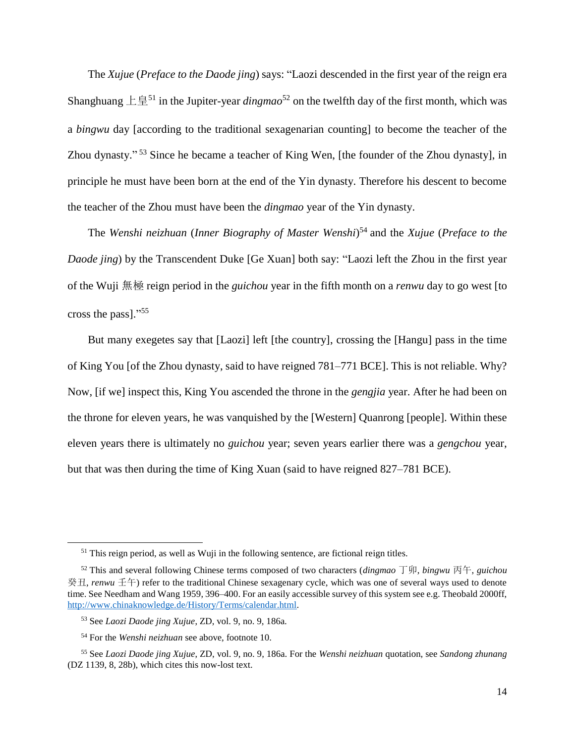The *Xujue* (*Preface to the Daode jing*) says: "Laozi descended in the first year of the reign era Shanghuang  $\pm \frac{4}{3}$ <sup>51</sup> in the Jupiter-year *dingmao*<sup>52</sup> on the twelfth day of the first month, which was a *bingwu* day [according to the traditional sexagenarian counting] to become the teacher of the Zhou dynasty."<sup>53</sup> Since he became a teacher of King Wen, [the founder of the Zhou dynasty], in principle he must have been born at the end of the Yin dynasty. Therefore his descent to become the teacher of the Zhou must have been the *dingmao* year of the Yin dynasty.

The *Wenshi neizhuan* (*Inner Biography of Master Wenshi*) <sup>54</sup> and the *Xujue* (*Preface to the Daode jing*) by the Transcendent Duke [Ge Xuan] both say: "Laozi left the Zhou in the first year of the Wuji 無極 reign period in the *guichou* year in the fifth month on a *renwu* day to go west [to cross the pass]." 55

But many exegetes say that [Laozi] left [the country], crossing the [Hangu] pass in the time of King You [of the Zhou dynasty, said to have reigned 781–771 BCE]. This is not reliable. Why? Now, [if we] inspect this, King You ascended the throne in the *gengjia* year. After he had been on the throne for eleven years, he was vanquished by the [Western] Quanrong [people]. Within these eleven years there is ultimately no *guichou* year; seven years earlier there was a *gengchou* year, but that was then during the time of King Xuan (said to have reigned 827–781 BCE).

<sup>&</sup>lt;sup>51</sup> This reign period, as well as Wuji in the following sentence, are fictional reign titles.

<sup>52</sup> This and several following Chinese terms composed of two characters (*dingmao* 丁卯, *bingwu* 丙午, *guichou* 癸丑, *renwu* 壬午) refer to the traditional Chinese sexagenary cycle, which was one of several ways used to denote time. See Needham and Wang 1959, 396–400. For an easily accessible survey of this system see e.g. Theobald 2000ff, [http://www.chinaknowledge.de/History/Terms/calendar.html.](http://www.chinaknowledge.de/History/Terms/calendar.html)

<sup>53</sup> See *Laozi Daode jing Xujue*, ZD, vol. 9, no. 9, 186a.

<sup>54</sup> For the *Wenshi neizhuan* see above, footnote 10.

<sup>55</sup> See *Laozi Daode jing Xujue*, ZD, vol. 9, no. 9, 186a. For the *Wenshi neizhuan* quotation, see *Sandong zhunang*  (DZ 1139, 8, 28b), which cites this now-lost text.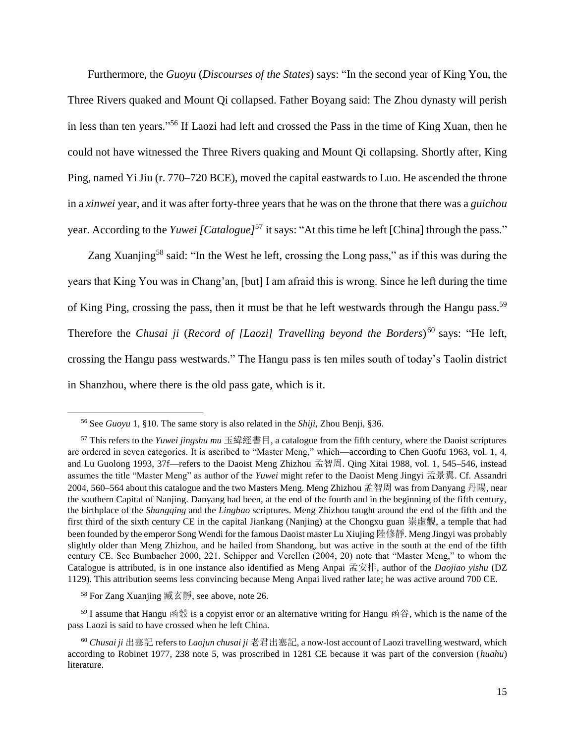Furthermore, the *Guoyu* (*Discourses of the States*) says: "In the second year of King You, the Three Rivers quaked and Mount Qi collapsed. Father Boyang said: The Zhou dynasty will perish in less than ten years." <sup>56</sup> If Laozi had left and crossed the Pass in the time of King Xuan, then he could not have witnessed the Three Rivers quaking and Mount Qi collapsing. Shortly after, King Ping, named Yi Jiu (r. 770–720 BCE), moved the capital eastwards to Luo. He ascended the throne in a *xinwei* year, and it was after forty-three years that he was on the throne that there was a *guichou* year. According to the *Yuwei [Catalogue]*<sup>57</sup> it says: "At this time he left [China] through the pass."

Zang Xuanjing<sup>58</sup> said: "In the West he left, crossing the Long pass," as if this was during the years that King You was in Chang'an, [but] I am afraid this is wrong. Since he left during the time of King Ping, crossing the pass, then it must be that he left westwards through the Hangu pass.<sup>59</sup> Therefore the *Chusai ji* (*Record of [Laozi] Travelling beyond the Borders*) <sup>60</sup> says: "He left, crossing the Hangu pass westwards." The Hangu pass is ten miles south of today's Taolin district in Shanzhou, where there is the old pass gate, which is it.

<sup>56</sup> See *Guoyu* 1, §10. The same story is also related in the *Shiji*, Zhou Benji, §36.

<sup>57</sup> This refers to the *Yuwei jingshu mu* 玉緯經書目, a catalogue from the fifth century, where the Daoist scriptures are ordered in seven categories. It is ascribed to "Master Meng," which—according to Chen Guofu 1963, vol. 1, 4, and Lu Guolong 1993, 37f—refers to the Daoist Meng Zhizhou 孟智周. Qing Xitai 1988, vol. 1, 545–546, instead assumes the title "Master Meng" as author of the *Yuwei* might refer to the Daoist Meng Jingyi 孟景翼. Cf. Assandri 2004, 560–564 about this catalogue and the two Masters Meng. Meng Zhizhou 孟智周 was from Danyang 丹陽, near the southern Capital of Nanjing. Danyang had been, at the end of the fourth and in the beginning of the fifth century, the birthplace of the *Shangqing* and the *Lingbao* scriptures. Meng Zhizhou taught around the end of the fifth and the first third of the sixth century CE in the capital Jiankang (Nanjing) at the Chongxu guan 崇虛觀, a temple that had been founded by the emperor Song Wendi for the famous Daoist master Lu Xiujing 陸修靜. Meng Jingyi was probably slightly older than Meng Zhizhou, and he hailed from Shandong, but was active in the south at the end of the fifth century CE. See Bumbacher 2000, 221. Schipper and Verellen (2004, 20) note that "Master Meng," to whom the Catalogue is attributed, is in one instance also identified as Meng Anpai 孟安排, author of the *Daojiao yishu* (DZ 1129). This attribution seems less convincing because Meng Anpai lived rather late; he was active around 700 CE.

<sup>58</sup> For Zang Xuanjing 臧玄靜, see above, note [26.](#page-7-1)

 $59$  I assume that Hangu 函穀 is a copyist error or an alternative writing for Hangu 函谷, which is the name of the pass Laozi is said to have crossed when he left China.

<sup>60</sup> *Chusai ji* 出塞記 refers to *Laojun chusai ji* 老君出塞記, a now-lost account of Laozi travelling westward, which according to Robinet 1977, 238 note 5, was proscribed in 1281 CE because it was part of the conversion (*huahu*) literature.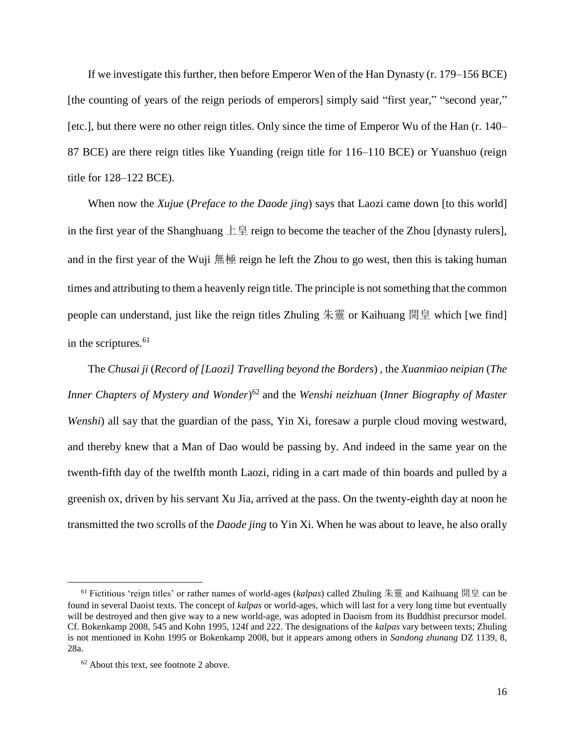If we investigate this further, then before Emperor Wen of the Han Dynasty (r. 179–156 BCE) [the counting of years of the reign periods of emperors] simply said "first year," "second year," [etc.], but there were no other reign titles. Only since the time of Emperor Wu of the Han (r. 140– 87 BCE) are there reign titles like Yuanding (reign title for 116–110 BCE) or Yuanshuo (reign title for 128–122 BCE).

When now the *Xujue* (*Preface to the Daode jing*) says that Laozi came down [to this world] in the first year of the Shanghuang  $\pm \overline{\oplus}$  reign to become the teacher of the Zhou [dynasty rulers], and in the first year of the Wuji  $\frac{1}{m}$  reign he left the Zhou to go west, then this is taking human times and attributing to them a heavenly reign title. The principle is not something that the common people can understand, just like the reign titles Zhuling  $\frac{1}{k}$  or Kaihuang  $\frac{1}{k}$  which [we find] in the scriptures. $61$ 

The *Chusai ji* (*Record of [Laozi] Travelling beyond the Borders*) , the *Xuanmiao neipian* (*The Inner Chapters of Mystery and Wonder*) <sup>62</sup> and the *Wenshi neizhuan* (*Inner Biography of Master Wenshi*) all say that the guardian of the pass, Yin Xi, foresaw a purple cloud moving westward, and thereby knew that a Man of Dao would be passing by. And indeed in the same year on the twenth-fifth day of the twelfth month Laozi, riding in a cart made of thin boards and pulled by a greenish ox, driven by his servant Xu Jia, arrived at the pass. On the twenty-eighth day at noon he transmitted the two scrolls of the *Daode jing* to Yin Xi. When he was about to leave, he also orally

<sup>61</sup> Fictitious 'reign titles' or rather names of world-ages (*kalpas*) called Zhuling 朱靈 and Kaihuang 開皇 can be found in several Daoist texts. The concept of *kalpas* or world-ages, which will last for a very long time but eventually will be destroyed and then give way to a new world-age, was adopted in Daoism from its Buddhist precursor model. Cf. Bokenkamp 2008, 545 and Kohn 1995, 124f and 222. The designations of the *kalpas* vary between texts; Zhuling is not mentioned in Kohn 1995 or Bokenkamp 2008, but it appears among others in *Sandong zhunang* DZ 1139, 8, 28a.

 $62$  About this text, see footnote 2 above.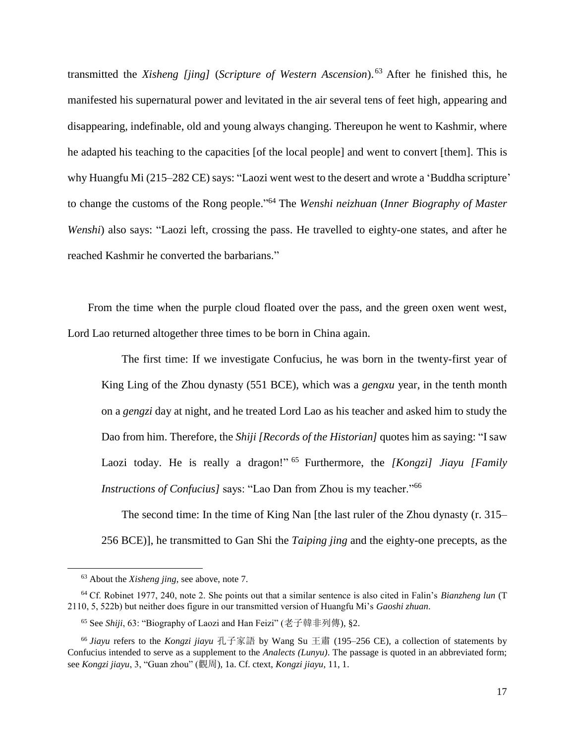transmitted the *Xisheng [jing]* (*Scripture of Western Ascension*). <sup>63</sup> After he finished this, he manifested his supernatural power and levitated in the air several tens of feet high, appearing and disappearing, indefinable, old and young always changing. Thereupon he went to Kashmir, where he adapted his teaching to the capacities [of the local people] and went to convert [them]. This is why Huangfu Mi (215–282 CE) says: "Laozi went west to the desert and wrote a 'Buddha scripture' to change the customs of the Rong people." <sup>64</sup> The *Wenshi neizhuan* (*Inner Biography of Master Wenshi*) also says: "Laozi left, crossing the pass. He travelled to eighty-one states, and after he reached Kashmir he converted the barbarians."

From the time when the purple cloud floated over the pass, and the green oxen went west, Lord Lao returned altogether three times to be born in China again.

The first time: If we investigate Confucius, he was born in the twenty-first year of King Ling of the Zhou dynasty (551 BCE), which was a *gengxu* year, in the tenth month on a *gengzi* day at night, and he treated Lord Lao as his teacher and asked him to study the Dao from him. Therefore, the *Shiji [Records of the Historian]* quotes him as saying: "I saw Laozi today. He is really a dragon!"<sup>65</sup> Furthermore, the *[Kongzi] Jiayu [Family Instructions of Confucius]* says: "Lao Dan from Zhou is my teacher."<sup>66</sup>

The second time: In the time of King Nan [the last ruler of the Zhou dynasty (r. 315– 256 BCE)], he transmitted to Gan Shi the *Taiping jing* and the eighty-one precepts, as the

<sup>63</sup> About the *Xisheng jing*, see above, note 7.

<sup>64</sup> Cf. Robinet 1977, 240, note 2. She points out that a similar sentence is also cited in Falin's *Bianzheng lun* (T 2110, 5, 522b) but neither does figure in our transmitted version of Huangfu Mi's *Gaoshi zhuan*.

<sup>65</sup> See *Shiji*, 63: "Biography of Laozi and Han Feizi" (老子韓非列傳), §2.

<sup>66</sup> *Jiayu* refers to the *Kongzi jiayu* 孔子家語 by Wang Su 王肅 (195–256 CE), a collection of statements by Confucius intended to serve as a supplement to the *Analects (Lunyu)*. The passage is quoted in an abbreviated form; see *Kongzi jiayu*, 3, "Guan zhou" (觀周), 1a. Cf. ctext, *Kongzi jiayu*, 11, 1.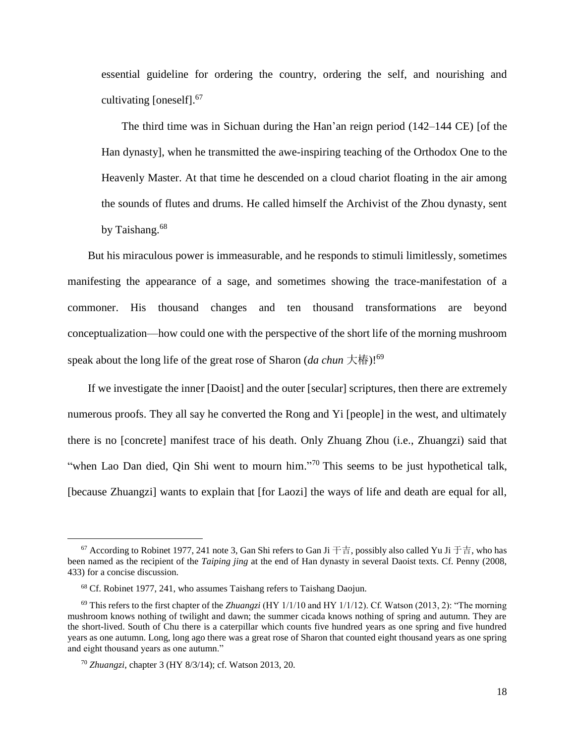essential guideline for ordering the country, ordering the self, and nourishing and cultivating [oneself]. 67

The third time was in Sichuan during the Han'an reign period (142–144 CE) [of the Han dynasty], when he transmitted the awe-inspiring teaching of the Orthodox One to the Heavenly Master. At that time he descended on a cloud chariot floating in the air among the sounds of flutes and drums. He called himself the Archivist of the Zhou dynasty, sent by Taishang.<sup>68</sup>

But his miraculous power is immeasurable, and he responds to stimuli limitlessly, sometimes manifesting the appearance of a sage, and sometimes showing the trace-manifestation of a commoner. His thousand changes and ten thousand transformations are beyond conceptualization—how could one with the perspective of the short life of the morning mushroom speak about the long life of the great rose of Sharon (*da chun* 大椿)! 69

If we investigate the inner [Daoist] and the outer [secular] scriptures, then there are extremely numerous proofs. They all say he converted the Rong and Yi [people] in the west, and ultimately there is no [concrete] manifest trace of his death. Only Zhuang Zhou (i.e., Zhuangzi) said that "when Lao Dan died, Qin Shi went to mourn him."<sup>70</sup> This seems to be just hypothetical talk, [because Zhuangzi] wants to explain that [for Laozi] the ways of life and death are equal for all,

<sup>&</sup>lt;sup>67</sup> According to Robinet 1977, 241 note 3, Gan Shi refers to Gan Ji  $\pm \pm i$ , possibly also called Yu Ji  $\pm \pm i$ , who has been named as the recipient of the *Taiping jing* at the end of Han dynasty in several Daoist texts. Cf. Penny (2008, 433) for a concise discussion.

<sup>68</sup> Cf. Robinet 1977, 241, who assumes Taishang refers to Taishang Daojun.

<sup>69</sup> This refers to the first chapter of the *Zhuangzi* (HY 1/1/10 and HY 1/1/12). Cf. Watson (2013, 2): "The morning mushroom knows nothing of twilight and dawn; the summer cicada knows nothing of spring and autumn. They are the short-lived. South of Chu there is a caterpillar which counts five hundred years as one spring and five hundred years as one autumn. Long, long ago there was a great rose of Sharon that counted eight thousand years as one spring and eight thousand years as one autumn."

<sup>70</sup> *Zhuangzi*, chapter 3 (HY 8/3/14); cf. Watson 2013, 20.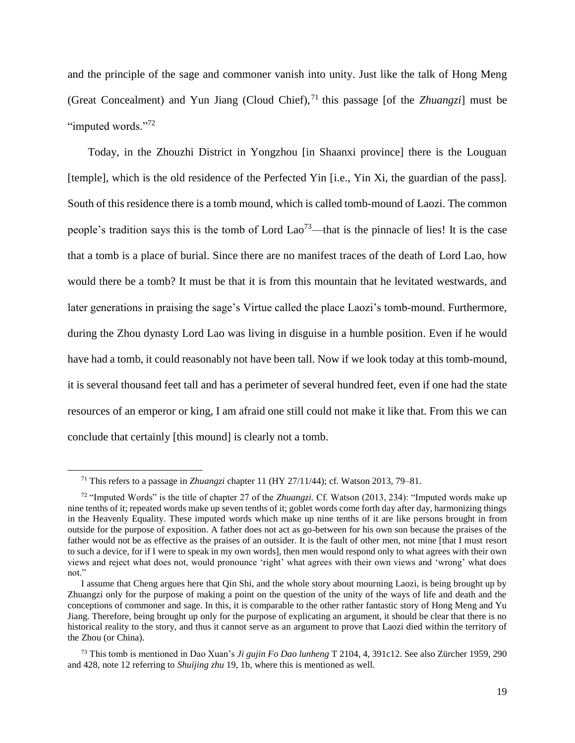and the principle of the sage and commoner vanish into unity. Just like the talk of Hong Meng (Great Concealment) and Yun Jiang (Cloud Chief),  $^{71}$  this passage [of the *Zhuangzi*] must be "imputed words."<sup>72</sup>

Today, in the Zhouzhi District in Yongzhou [in Shaanxi province] there is the Louguan [temple], which is the old residence of the Perfected Yin [i.e., Yin Xi, the guardian of the pass]. South of this residence there is a tomb mound, which is called tomb-mound of Laozi. The common people's tradition says this is the tomb of Lord Lao<sup>73</sup>—that is the pinnacle of lies! It is the case that a tomb is a place of burial. Since there are no manifest traces of the death of Lord Lao, how would there be a tomb? It must be that it is from this mountain that he levitated westwards, and later generations in praising the sage's Virtue called the place Laozi's tomb-mound. Furthermore, during the Zhou dynasty Lord Lao was living in disguise in a humble position. Even if he would have had a tomb, it could reasonably not have been tall. Now if we look today at this tomb-mound, it is several thousand feet tall and has a perimeter of several hundred feet, even if one had the state resources of an emperor or king, I am afraid one still could not make it like that. From this we can conclude that certainly [this mound] is clearly not a tomb.

l

<sup>71</sup> This refers to a passage in *Zhuangzi* chapter 11 (HY 27/11/44); cf. Watson 2013, 79–81.

<sup>72</sup> "Imputed Words" is the title of chapter 27 of the *Zhuangzi.* Cf. Watson (2013, 234): "Imputed words make up nine tenths of it; repeated words make up seven tenths of it; goblet words come forth day after day, harmonizing things in the Heavenly Equality. These imputed words which make up nine tenths of it are like persons brought in from outside for the purpose of exposition. A father does not act as go-between for his own son because the praises of the father would not be as effective as the praises of an outsider. It is the fault of other men, not mine [that I must resort to such a device, for if I were to speak in my own words], then men would respond only to what agrees with their own views and reject what does not, would pronounce 'right' what agrees with their own views and 'wrong' what does not."

I assume that Cheng argues here that Qin Shi, and the whole story about mourning Laozi, is being brought up by Zhuangzi only for the purpose of making a point on the question of the unity of the ways of life and death and the conceptions of commoner and sage. In this, it is comparable to the other rather fantastic story of Hong Meng and Yu Jiang. Therefore, being brought up only for the purpose of explicating an argument, it should be clear that there is no historical reality to the story, and thus it cannot serve as an argument to prove that Laozi died within the territory of the Zhou (or China).

<sup>73</sup> This tomb is mentioned in Dao Xuan's *Ji gujin Fo Dao lunheng* T 2104, 4, 391c12. See also Zürcher 1959, 290 and 428, note 12 referring to *Shuijing zhu* 19, 1b, where this is mentioned as well.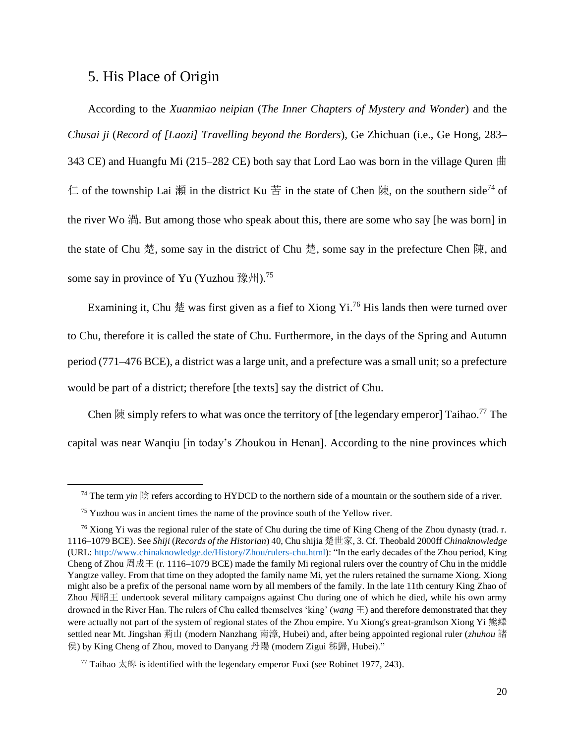### <span id="page-19-0"></span>5. His Place of Origin

 $\overline{\phantom{a}}$ 

According to the *Xuanmiao neipian* (*The Inner Chapters of Mystery and Wonder*) and the *Chusai ji* (*Record of [Laozi] Travelling beyond the Borders*)*,* Ge Zhichuan (i.e., Ge Hong, 283– 343 CE) and Huangfu Mi (215–282 CE) both say that Lord Lao was born in the village Quren 曲 仁 of the township Lai 瀬 in the district Ku 苦 in the state of Chen 陳, on the southern side<sup>74</sup> of the river Wo 渦. But among those who speak about this, there are some who say [he was born] in the state of Chu 楚, some say in the district of Chu 楚, some say in the prefecture Chen 陳, and some say in province of Yu (Yuzhou 豫州).<sup>75</sup>

Examining it, Chu 楚 was first given as a fief to Xiong Yi.<sup>76</sup> His lands then were turned over to Chu, therefore it is called the state of Chu. Furthermore, in the days of the Spring and Autumn period (771–476 BCE), a district was a large unit, and a prefecture was a small unit; so a prefecture would be part of a district; therefore [the texts] say the district of Chu.

Chen  $\R$  simply refers to what was once the territory of [the legendary emperor] Taihao.<sup>77</sup> The capital was near Wanqiu [in today's Zhoukou in Henan]. According to the nine provinces which

<sup>&</sup>lt;sup>74</sup> The term *vin*  $\frac{16}{2}$  refers according to HYDCD to the northern side of a mountain or the southern side of a river.

<sup>75</sup> Yuzhou was in ancient times the name of the province south of the Yellow river.

<sup>&</sup>lt;sup>76</sup> Xiong Yi was the regional ruler of the state of Chu during the time of King Cheng of the Zhou dynasty (trad. r. 1116–1079 BCE). See *Shiji* (*Records of the Historian*) 40, Chu shijia 楚世家, 3. Cf. Theobald 2000ff *Chinaknowledge* (URL[: http://www.chinaknowledge.de/History/Zhou/rulers-chu.html\)](http://www.chinaknowledge.de/History/Zhou/rulers-chu.html): "In the early decades of the Zhou period, King Cheng of Zhou 周成王 (r. 1116–1079 BCE) made the family Mi regional rulers over the country of Chu in the middle Yangtze valley. From that time on they adopted the family name Mi, yet the rulers retained the surname Xiong. Xiong might also be a prefix of the personal name worn by all members of the family. In the late 11th century King Zhao of Zhou 周昭王 undertook several military campaigns against Chu during one of which he died, while his own army drowned in the River Han. The rulers of Chu called themselves 'king' (*wang* 王) and therefore demonstrated that they were actually not part of the system of regional states of the Zhou empire. Yu Xiong's great-grandson Xiong Yi 熊繹 settled near Mt. Jingshan 荊山 (modern Nanzhang 南漳, Hubei) and, after being appointed regional ruler (*zhuhou* 諸 侯) by King Cheng of Zhou, moved to Danyang 丹陽 (modern Zigui 秭歸, Hubei)."

<sup>&</sup>lt;sup>77</sup> Taihao  $\overline{\mathcal{K}}$  is identified with the legendary emperor Fuxi (see Robinet 1977, 243).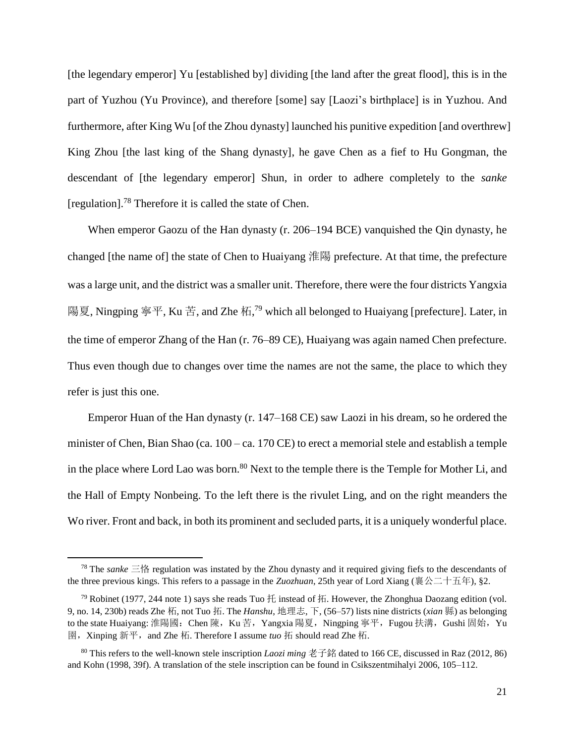[the legendary emperor] Yu [established by] dividing [the land after the great flood], this is in the part of Yuzhou (Yu Province), and therefore [some] say [Laozi's birthplace] is in Yuzhou. And furthermore, after King Wu [of the Zhou dynasty] launched his punitive expedition [and overthrew] King Zhou [the last king of the Shang dynasty], he gave Chen as a fief to Hu Gongman, the descendant of [the legendary emperor] Shun, in order to adhere completely to the *sanke* [regulation].<sup>78</sup> Therefore it is called the state of Chen.

When emperor Gaozu of the Han dynasty (r. 206–194 BCE) vanquished the Qin dynasty, he changed [the name of] the state of Chen to Huaiyang 淮陽 prefecture. At that time, the prefecture was a large unit, and the district was a smaller unit. Therefore, there were the four districts Yangxia 陽夏, Ningping 寧平, Ku 苦, and Zhe 柘,<sup>79</sup> which all belonged to Huaiyang [prefecture]. Later, in the time of emperor Zhang of the Han (r. 76–89 CE), Huaiyang was again named Chen prefecture. Thus even though due to changes over time the names are not the same, the place to which they refer is just this one.

Emperor Huan of the Han dynasty (r. 147–168 CE) saw Laozi in his dream, so he ordered the minister of Chen, Bian Shao (ca. 100 – ca. 170 CE) to erect a memorial stele and establish a temple in the place where Lord Lao was born.<sup>80</sup> Next to the temple there is the Temple for Mother Li, and the Hall of Empty Nonbeing. To the left there is the rivulet Ling, and on the right meanders the Wo river. Front and back, in both its prominent and secluded parts, it is a uniquely wonderful place.

<sup>78</sup> The *sanke* 三恪 regulation was instated by the Zhou dynasty and it required giving fiefs to the descendants of the three previous kings. This refers to a passage in the *Zuozhuan*, 25th year of Lord Xiang (襄公二十五年), §2.

<sup>&</sup>lt;sup>79</sup> Robinet (1977, 244 note 1) says she reads Tuo  $H$  instead of  $H$ . However, the Zhonghua Daozang edition (vol. 9, no. 14, 230b) reads Zhe 柘, not Tuo 拓. The *Hanshu*, 地理志, 下, (56–57) lists nine districts (*xian* 縣) as belonging to the state Huaiyang: 淮陽國: Chen 陳, Ku 苦, Yangxia 陽夏, Ningping 寧平, Fugou 扶溝, Gushi 固始, Yu 圉,Xinping 新平,and Zhe 柘. Therefore I assume *tuo* 拓 should read Zhe 柘.

<sup>80</sup> This refers to the well-known stele inscription *Laozi ming* 老子銘 dated to 166 CE, discussed in Raz (2012, 86) and Kohn (1998, 39f). A translation of the stele inscription can be found in Csikszentmihalyi 2006, 105–112.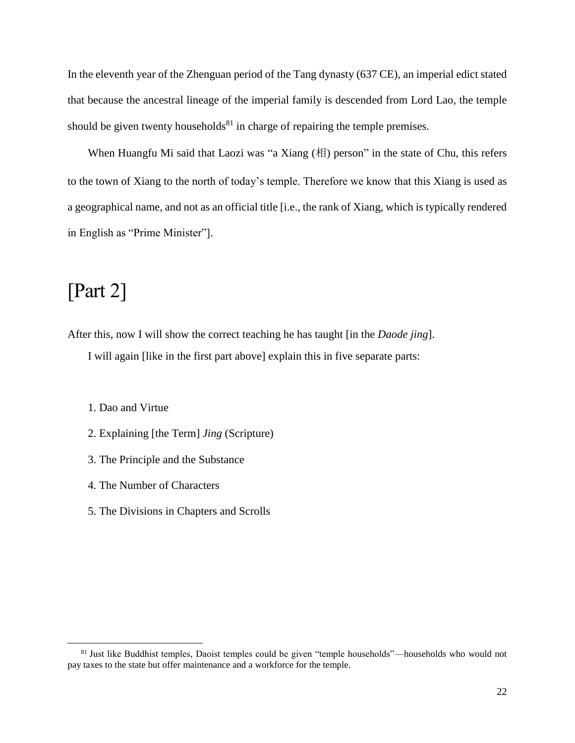In the eleventh year of the Zhenguan period of the Tang dynasty (637 CE), an imperial edict stated that because the ancestral lineage of the imperial family is descended from Lord Lao, the temple should be given twenty households $81$  in charge of repairing the temple premises.

When Huangfu Mi said that Laozi was "a Xiang  $(\#\)$  person" in the state of Chu, this refers to the town of Xiang to the north of today's temple. Therefore we know that this Xiang is used as a geographical name, and not as an official title [i.e., the rank of Xiang, which is typically rendered in English as "Prime Minister"].

### <span id="page-21-0"></span>[Part 2]

 $\overline{a}$ 

After this, now I will show the correct teaching he has taught [in the *Daode jing*].

I will again [like in the first part above] explain this in five separate parts:

- 1. Dao and Virtue
- 2. Explaining [the Term] *Jing* (Scripture)
- 3. The Principle and the Substance
- 4. The Number of Characters
- 5. The Divisions in Chapters and Scrolls

<sup>&</sup>lt;sup>81</sup> Just like Buddhist temples, Daoist temples could be given "temple households"—households who would not pay taxes to the state but offer maintenance and a workforce for the temple.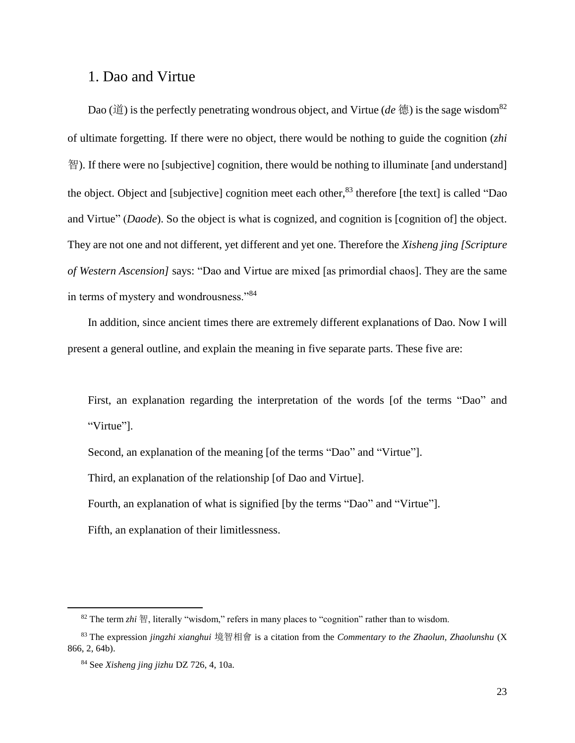### <span id="page-22-0"></span>1. Dao and Virtue

Dao (道) is the perfectly penetrating wondrous object, and Virtue (*de* 德) is the sage wisdom<sup>82</sup> of ultimate forgetting. If there were no object, there would be nothing to guide the cognition (*zhi* 智). If there were no [subjective] cognition, there would be nothing to illuminate [and understand] the object. Object and [subjective] cognition meet each other, <sup>83</sup> therefore [the text] is called "Dao and Virtue" (*Daode*). So the object is what is cognized, and cognition is [cognition of] the object. They are not one and not different, yet different and yet one. Therefore the *Xisheng jing [Scripture of Western Ascension]* says: "Dao and Virtue are mixed [as primordial chaos]. They are the same in terms of mystery and wondrousness."<sup>84</sup>

In addition, since ancient times there are extremely different explanations of Dao. Now I will present a general outline, and explain the meaning in five separate parts. These five are:

First, an explanation regarding the interpretation of the words [of the terms "Dao" and "Virtue"].

Second, an explanation of the meaning [of the terms "Dao" and "Virtue"].

Third, an explanation of the relationship [of Dao and Virtue].

Fourth, an explanation of what is signified [by the terms "Dao" and "Virtue"].

Fifth, an explanation of their limitlessness.

<sup>82</sup> The term *zhi* 智, literally "wisdom," refers in many places to "cognition" rather than to wisdom.

<sup>83</sup> The expression *jingzhi xianghui* 境智相會 is a citation from the *Commentary to the Zhaolun, Zhaolunshu* (X 866, 2, 64b).

<sup>84</sup> See *Xisheng jing jizhu* DZ 726, 4, 10a.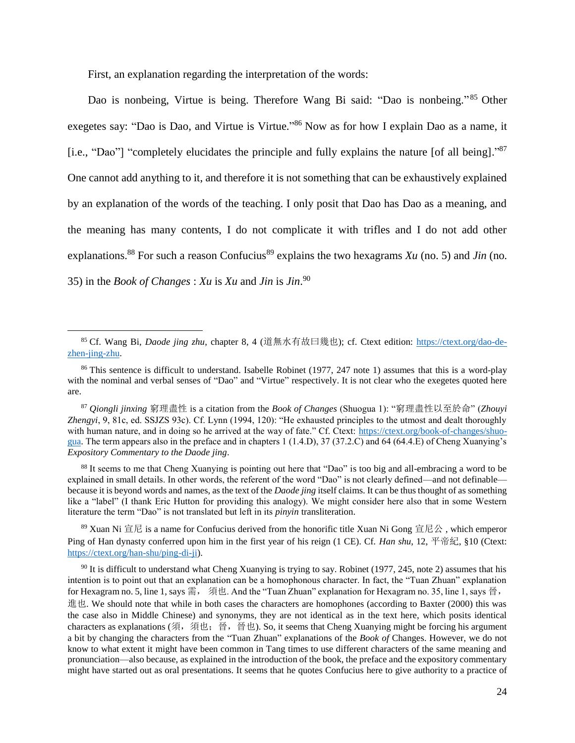<span id="page-23-0"></span>First, an explanation regarding the interpretation of the words:

l

Dao is nonbeing, Virtue is being. Therefore Wang Bi said: "Dao is nonbeing."<sup>85</sup> Other exegetes say: "Dao is Dao, and Virtue is Virtue."<sup>86</sup> Now as for how I explain Dao as a name, it [i.e., "Dao"] "completely elucidates the principle and fully explains the nature [of all being]."<sup>87</sup> One cannot add anything to it, and therefore it is not something that can be exhaustively explained by an explanation of the words of the teaching. I only posit that Dao has Dao as a meaning, and the meaning has many contents, I do not complicate it with trifles and I do not add other explanations.<sup>88</sup> For such a reason Confucius<sup>89</sup> explains the two hexagrams *Xu* (no. 5) and *Jin* (no. 35) in the *Book of Changes* : *Xu* is *Xu* and *Jin* is *Jin*. 90

88 It seems to me that Cheng Xuanying is pointing out here that "Dao" is too big and all-embracing a word to be explained in small details. In other words, the referent of the word "Dao" is not clearly defined—and not definable because it is beyond words and names, as the text of the *Daode jing* itself claims. It can be thus thought of as something like a "label" (I thank Eric Hutton for providing this analogy). We might consider here also that in some Western literature the term "Dao" is not translated but left in its *pinyin* transliteration.

 $89$  Xuan Ni 宣尼 is a name for Confucius derived from the honorific title Xuan Ni Gong 宣尼公, which emperor Ping of Han dynasty conferred upon him in the first year of his reign (1 CE). Cf. *Han shu*, 12, 平帝紀, §10 (Ctext: [https://ctext.org/han-shu/ping-di-ji\)](https://ctext.org/han-shu/ping-di-ji).

 $90$  It is difficult to understand what Cheng Xuanying is trying to say. Robinet (1977, 245, note 2) assumes that his intention is to point out that an explanation can be a homophonous character. In fact, the "Tuan Zhuan" explanation for Hexagram no. 5, line 1, says 需, 須也. And the "Tuan Zhuan" explanation for Hexagram no. 35, line 1, says 晉, 進也. We should note that while in both cases the characters are homophones (according to Baxter (2000) this was the case also in Middle Chinese) and synonyms, they are not identical as in the text here, which posits identical characters as explanations (須, 須也;晉,晉也). So, it seems that Cheng Xuanying might be forcing his argument a bit by changing the characters from the "Tuan Zhuan" explanations of the *Book of* Changes. However, we do not know to what extent it might have been common in Tang times to use different characters of the same meaning and pronunciation—also because, as explained in the introduction of the book, the preface and the expository commentary might have started out as oral presentations. It seems that he quotes Confucius here to give authority to a practice of

<sup>85</sup> Cf. Wang Bi, *Daode jing zhu*, chapter 8, 4 (道無水有故曰幾也); cf. Ctext edition: [https://ctext.org/dao-de](https://ctext.org/dao-de-zhen-jing-zhu)[zhen-jing-zhu.](https://ctext.org/dao-de-zhen-jing-zhu)

<sup>&</sup>lt;sup>86</sup> This sentence is difficult to understand. Isabelle Robinet (1977, 247 note 1) assumes that this is a word-play with the nominal and verbal senses of "Dao" and "Virtue" respectively. It is not clear who the exegetes quoted here are.

<sup>87</sup> *Qiongli jinxing* 窮理盡性 is a citation from the *Book of Changes* (Shuogua 1): "窮理盡性以至於命" (*Zhouyi Zhengyi*, 9, 81c, ed. SSJZS 93c). Cf. Lynn (1994, 120): "He exhausted principles to the utmost and dealt thoroughly with human nature, and in doing so he arrived at the way of fate." Cf. Ctext: [https://ctext.org/book-of-changes/shuo](https://ctext.org/book-of-changes/shuo-gua)[gua.](https://ctext.org/book-of-changes/shuo-gua) The term appears also in the preface and in chapters 1 (1.4.D), 37 (37.2.C) and 64 (64.4.E) of Cheng Xuanying's *Expository Commentary to the Daode jing*.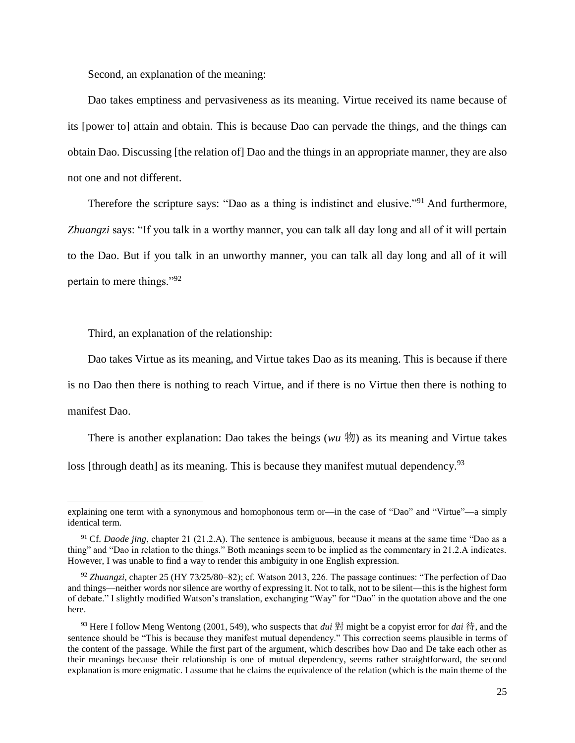<span id="page-24-0"></span>Second, an explanation of the meaning:

Dao takes emptiness and pervasiveness as its meaning. Virtue received its name because of its [power to] attain and obtain. This is because Dao can pervade the things, and the things can obtain Dao. Discussing [the relation of] Dao and the things in an appropriate manner, they are also not one and not different.

Therefore the scripture says: "Dao as a thing is indistinct and elusive."<sup>91</sup> And furthermore, *Zhuangzi* says: "If you talk in a worthy manner, you can talk all day long and all of it will pertain to the Dao. But if you talk in an unworthy manner, you can talk all day long and all of it will pertain to mere things."<sup>92</sup>

<span id="page-24-1"></span>Third, an explanation of the relationship:

l

Dao takes Virtue as its meaning, and Virtue takes Dao as its meaning. This is because if there

is no Dao then there is nothing to reach Virtue, and if there is no Virtue then there is nothing to manifest Dao.

There is another explanation: Dao takes the beings ( $wu \nvert\mathcal{W}$ ) as its meaning and Virtue takes

loss [through death] as its meaning. This is because they manifest mutual dependency.<sup>93</sup>

explaining one term with a synonymous and homophonous term or—in the case of "Dao" and "Virtue"—a simply identical term.

<sup>&</sup>lt;sup>91</sup> Cf. *Daode jing*, chapter 21 (21.2.A). The sentence is ambiguous, because it means at the same time "Dao as a thing" and "Dao in relation to the things." Both meanings seem to be implied as the commentary in 21.2.A indicates. However, I was unable to find a way to render this ambiguity in one English expression.

<sup>92</sup> *Zhuangzi*, chapter 25 (HY 73/25/80–82); cf. Watson 2013, 226. The passage continues: "The perfection of Dao and things—neither words nor silence are worthy of expressing it. Not to talk, not to be silent—this is the highest form of debate." I slightly modified Watson's translation, exchanging "Way" for "Dao" in the quotation above and the one here.

<sup>93</sup> Here I follow Meng Wentong (2001, 549), who suspects that *dui* 對 might be a copyist error for *dai* 待, and the sentence should be "This is because they manifest mutual dependency." This correction seems plausible in terms of the content of the passage. While the first part of the argument, which describes how Dao and De take each other as their meanings because their relationship is one of mutual dependency, seems rather straightforward, the second explanation is more enigmatic. I assume that he claims the equivalence of the relation (which is the main theme of the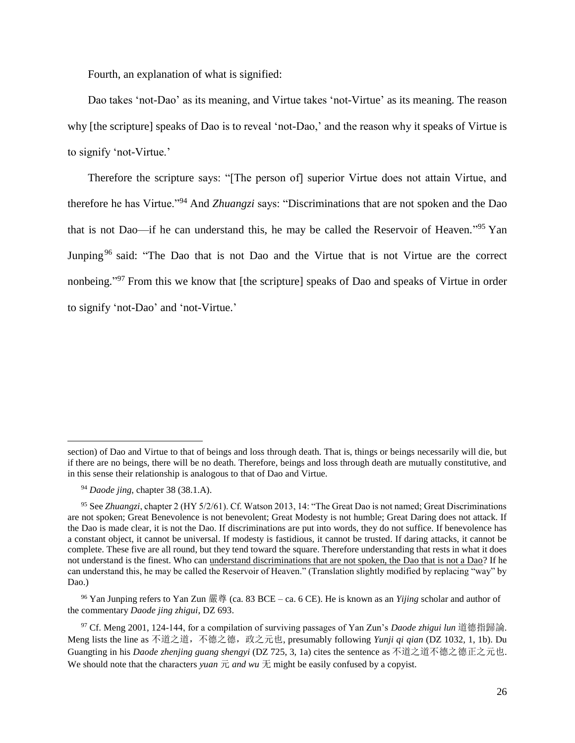<span id="page-25-0"></span>Fourth, an explanation of what is signified:

Dao takes 'not-Dao' as its meaning, and Virtue takes 'not-Virtue' as its meaning. The reason why [the scripture] speaks of Dao is to reveal 'not-Dao,' and the reason why it speaks of Virtue is to signify 'not-Virtue.'

Therefore the scripture says: "[The person of] superior Virtue does not attain Virtue, and therefore he has Virtue."<sup>94</sup> And *Zhuangzi* says: "Discriminations that are not spoken and the Dao that is not Dao—if he can understand this, he may be called the Reservoir of Heaven."<sup>95</sup> Yan Junping<sup>96</sup> said: "The Dao that is not Dao and the Virtue that is not Virtue are the correct nonbeing."<sup>97</sup> From this we know that [the scripture] speaks of Dao and speaks of Virtue in order to signify 'not-Dao' and 'not-Virtue.'

section) of Dao and Virtue to that of beings and loss through death. That is, things or beings necessarily will die, but if there are no beings, there will be no death. Therefore, beings and loss through death are mutually constitutive, and in this sense their relationship is analogous to that of Dao and Virtue.

<sup>94</sup> *Daode jing*, chapter 38 (38.1.A).

<sup>95</sup> See *Zhuangzi*, chapter 2 (HY 5/2/61). Cf. Watson 2013, 14: "The Great Dao is not named; Great Discriminations are not spoken; Great Benevolence is not benevolent; Great Modesty is not humble; Great Daring does not attack. If the Dao is made clear, it is not the Dao. If discriminations are put into words, they do not suffice. If benevolence has a constant object, it cannot be universal. If modesty is fastidious, it cannot be trusted. If daring attacks, it cannot be complete. These five are all round, but they tend toward the square. Therefore understanding that rests in what it does not understand is the finest. Who can understand discriminations that are not spoken, the Dao that is not a Dao? If he can understand this, he may be called the Reservoir of Heaven." (Translation slightly modified by replacing "way" by Dao.)

<sup>96</sup> Yan Junping refers to Yan Zun 嚴尊 (ca. 83 BCE – ca. 6 CE). He is known as an *Yijing* scholar and author of the commentary *Daode jing zhigui*, DZ 693.

<sup>97</sup> Cf. Meng 2001, 124-144, for a compilation of surviving passages of Yan Zun's *Daode zhigui lun* 道德指歸論. Meng lists the line as 不道之道,不德之德,政之元也, presumably following *Yunji qi qian* (DZ 1032, 1, 1b). Du Guangting in his *Daode zhenjing guang shengyi* (DZ 725, 3, 1a) cites the sentence as 不道之道不德之德正之元也. We should note that the characters *yuan*  $\overline{\pi}$  *and wu*  $\overline{\pi}$  might be easily confused by a copyist.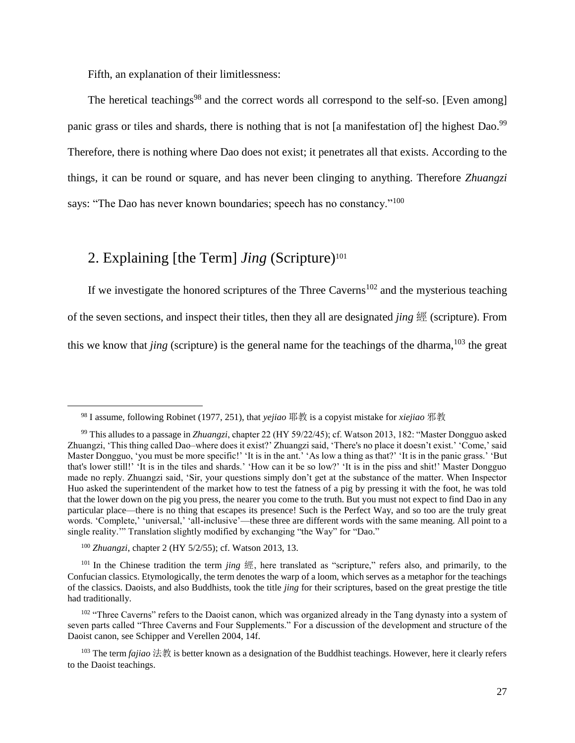<span id="page-26-0"></span>Fifth, an explanation of their limitlessness:

The heretical teachings<sup>98</sup> and the correct words all correspond to the self-so. [Even among] panic grass or tiles and shards, there is nothing that is not [a manifestation of] the highest Dao.<sup>99</sup> Therefore, there is nothing where Dao does not exist; it penetrates all that exists. According to the things, it can be round or square, and has never been clinging to anything. Therefore *Zhuangzi* says: "The Dao has never known boundaries; speech has no constancy."<sup>100</sup>

### <span id="page-26-1"></span>2. Explaining [the Term] *Jing* (Scripture)<sup>101</sup>

If we investigate the honored scriptures of the Three Caverns<sup>102</sup> and the mysterious teaching of the seven sections, and inspect their titles, then they all are designated *jing* 經 (scripture). From this we know that *jing* (scripture) is the general name for the teachings of the dharma, <sup>103</sup> the great

<sup>98</sup> I assume, following Robinet (1977, 251), that *yejiao* 耶教 is a copyist mistake for *xiejiao* 邪教

<sup>99</sup> This alludes to a passage in *Zhuangzi*, chapter 22 (HY 59/22/45); cf. Watson 2013, 182: "Master Dongguo asked Zhuangzi, 'This thing called Dao–where does it exist?' Zhuangzi said, 'There's no place it doesn't exist.' 'Come,' said Master Dongguo, 'you must be more specific!' 'It is in the ant.' 'As low a thing as that?' 'It is in the panic grass.' 'But that's lower still!' 'It is in the tiles and shards.' 'How can it be so low?' 'It is in the piss and shit!' Master Dongguo made no reply. Zhuangzi said, 'Sir, your questions simply don't get at the substance of the matter. When Inspector Huo asked the superintendent of the market how to test the fatness of a pig by pressing it with the foot, he was told that the lower down on the pig you press, the nearer you come to the truth. But you must not expect to find Dao in any particular place—there is no thing that escapes its presence! Such is the Perfect Way, and so too are the truly great words. 'Complete,' 'universal,' 'all-inclusive'—these three are different words with the same meaning. All point to a single reality.'" Translation slightly modified by exchanging "the Way" for "Dao."

<sup>100</sup> *Zhuangzi*, chapter 2 (HY 5/2/55); cf. Watson 2013, 13.

<sup>101</sup> In the Chinese tradition the term *jing* 經, here translated as "scripture," refers also, and primarily, to the Confucian classics. Etymologically, the term denotes the warp of a loom, which serves as a metaphor for the teachings of the classics. Daoists, and also Buddhists, took the title *jing* for their scriptures, based on the great prestige the title had traditionally.

<sup>&</sup>lt;sup>102</sup> "Three Caverns" refers to the Daoist canon, which was organized already in the Tang dynasty into a system of seven parts called "Three Caverns and Four Supplements." For a discussion of the development and structure of the Daoist canon, see Schipper and Verellen 2004, 14f.

<sup>103</sup> The term *fajiao* 法教 is better known as a designation of the Buddhist teachings. However, here it clearly refers to the Daoist teachings.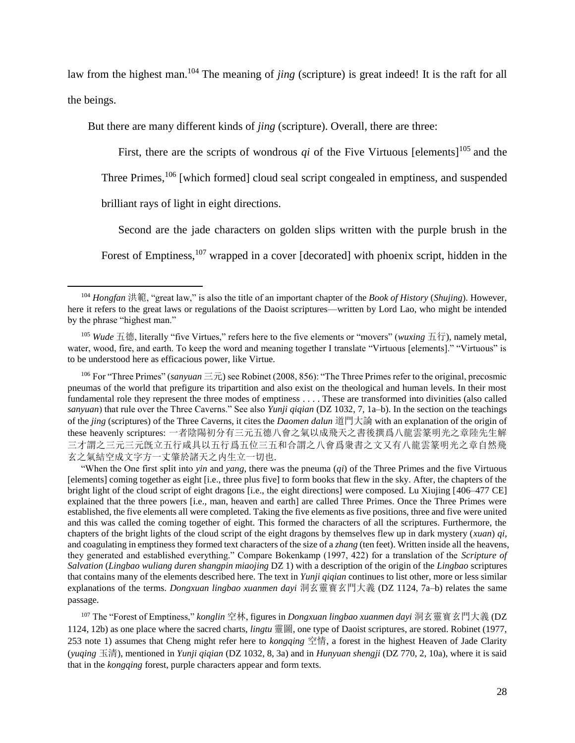law from the highest man.<sup>104</sup> The meaning of *jing* (scripture) is great indeed! It is the raft for all the beings.

But there are many different kinds of *jing* (scripture). Overall, there are three:

First, there are the scripts of wondrous *qi* of the Five Virtuous [elements]<sup>105</sup> and the

Three Primes,<sup>106</sup> [which formed] cloud seal script congealed in emptiness, and suspended

brilliant rays of light in eight directions.

l

Second are the jade characters on golden slips written with the purple brush in the Forest of Emptiness,<sup>107</sup> wrapped in a cover [decorated] with phoenix script, hidden in the

<sup>106</sup> For "Three Primes" (*sanyuan*  $\equiv \vec{\pi}$ ) see Robinet (2008, 856): "The Three Primes refer to the original, precosmic pneumas of the world that prefigure its tripartition and also exist on the theological and human levels. In their most fundamental role they represent the three modes of emptiness . . . . These are transformed into divinities (also called *sanyuan*) that rule over the Three Caverns." See also *Yunji qiqian* (DZ 1032, 7, 1a–b). In the section on the teachings of the *jing* (scriptures) of the Three Caverns, it cites the *Daomen dalun* 道門大論 with an explanation of the origin of these heavenly scriptures: 一者陰陽初分有三元五德八會之氣以成飛天之書後撰爲八龍雲篆明光之章陸先生解 三才謂之三元三元旣立五行咸具以五行爲五位三五和合謂之八會爲衆書之文又有八龍雲篆明光之章自然飛 玄之氣結空成文字方一丈肇於諸天之内生立一切也.

"When the One first split into *yin* and *yang*, there was the pneuma (*qi*) of the Three Primes and the five Virtuous [elements] coming together as eight [i.e., three plus five] to form books that flew in the sky. After, the chapters of the bright light of the cloud script of eight dragons [i.e., the eight directions] were composed. Lu Xiujing [406–477 CE] explained that the three powers [i.e., man, heaven and earth] are called Three Primes. Once the Three Primes were established, the five elements all were completed. Taking the five elements as five positions, three and five were united and this was called the coming together of eight. This formed the characters of all the scriptures. Furthermore, the chapters of the bright lights of the cloud script of the eight dragons by themselves flew up in dark mystery (*xuan*) *qi,* and coagulating in emptiness they formed text characters of the size of a *zhang* (ten feet). Written inside all the heavens, they generated and established everything." Compare Bokenkamp (1997, 422) for a translation of the *Scripture of Salvation* (*Lingbao wuliang duren shangpin miaojing* DZ 1) with a description of the origin of the *Lingbao* scriptures that contains many of the elements described here. The text in *Yunji qiqian* continues to list other, more or less similar explanations of the terms. *Dongxuan lingbao xuanmen dayi* 洞玄靈寳玄門大義 (DZ 1124, 7a–b) relates the same passage.

<sup>107</sup> The "Forest of Emptiness," *konglin* 空林, figures in *Dongxuan lingbao xuanmen dayi* 洞玄靈寳玄門大義 (DZ 1124, 12b) as one place where the sacred charts, *lingtu* 靈圖, one type of Daoist scriptures, are stored. Robinet (1977, 253 note 1) assumes that Cheng might refer here to *kongqing* 空情, a forest in the highest Heaven of Jade Clarity (*yuqing* 玉清), mentioned in *Yunji qiqian* (DZ 1032, 8, 3a) and in *Hunyuan shengji* (DZ 770, 2, 10a), where it is said that in the *kongqing* forest, purple characters appear and form texts.

<sup>104</sup> *Hongfan* 洪範, "great law," is also the title of an important chapter of the *Book of History* (*Shujing*). However, here it refers to the great laws or regulations of the Daoist scriptures—written by Lord Lao, who might be intended by the phrase "highest man."

<sup>105</sup> *Wude* 五德, literally "five Virtues," refers here to the five elements or "movers" (*wuxing* 五行), namely metal, water, wood, fire, and earth. To keep the word and meaning together I translate "Virtuous [elements]." "Virtuous" is to be understood here as efficacious power, like Virtue.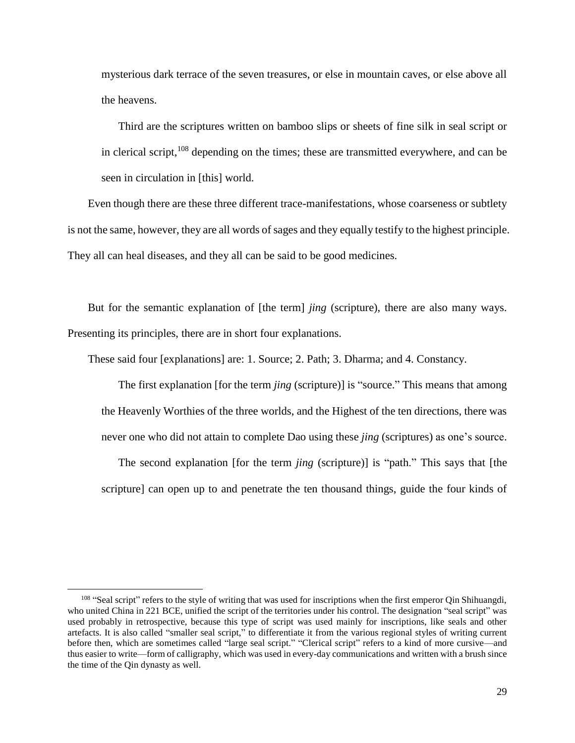mysterious dark terrace of the seven treasures, or else in mountain caves, or else above all the heavens.

Third are the scriptures written on bamboo slips or sheets of fine silk in seal script or in clerical script,  $^{108}$  depending on the times; these are transmitted everywhere, and can be seen in circulation in [this] world.

Even though there are these three different trace-manifestations, whose coarseness or subtlety is not the same, however, they are all words of sages and they equally testify to the highest principle. They all can heal diseases, and they all can be said to be good medicines.

But for the semantic explanation of [the term] *jing* (scripture), there are also many ways. Presenting its principles, there are in short four explanations.

These said four [explanations] are: 1. Source; 2. Path; 3. Dharma; and 4. Constancy.

The first explanation [for the term *jing* (scripture)] is "source." This means that among the Heavenly Worthies of the three worlds, and the Highest of the ten directions, there was never one who did not attain to complete Dao using these *jing* (scriptures) as one's source.

The second explanation [for the term *jing* (scripture)] is "path." This says that [the scripture] can open up to and penetrate the ten thousand things, guide the four kinds of

 $108$  "Seal script" refers to the style of writing that was used for inscriptions when the first emperor Qin Shihuangdi, who united China in 221 BCE, unified the script of the territories under his control. The designation "seal script" was used probably in retrospective, because this type of script was used mainly for inscriptions, like seals and other artefacts. It is also called "smaller seal script," to differentiate it from the various regional styles of writing current before then, which are sometimes called "large seal script." "Clerical script" refers to a kind of more cursive—and thus easier to write—form of calligraphy, which was used in every-day communications and written with a brush since the time of the Qin dynasty as well.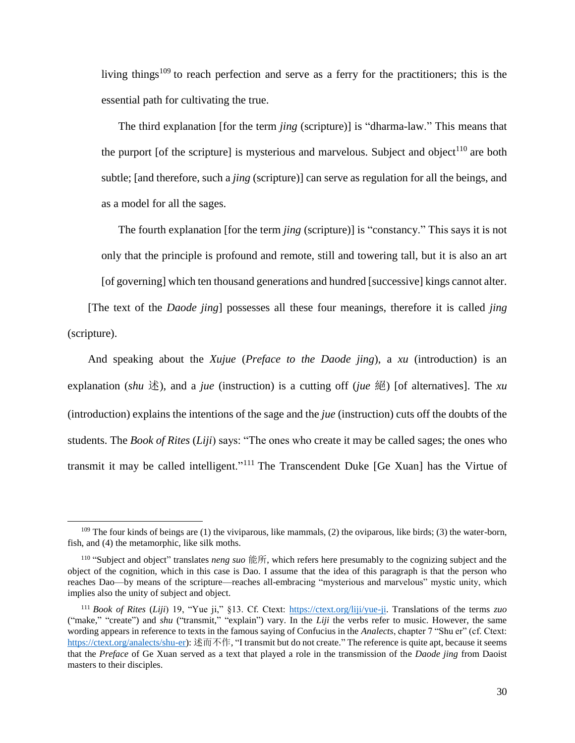living things<sup>109</sup> to reach perfection and serve as a ferry for the practitioners; this is the essential path for cultivating the true.

The third explanation [for the term *jing* (scripture)] is "dharma-law." This means that the purport [of the scripture] is mysterious and marvelous. Subject and object<sup>110</sup> are both subtle; [and therefore, such a *jing* (scripture)] can serve as regulation for all the beings, and as a model for all the sages.

The fourth explanation [for the term *jing* (scripture)] is "constancy." This says it is not only that the principle is profound and remote, still and towering tall, but it is also an art [of governing] which ten thousand generations and hundred [successive] kings cannot alter.

[The text of the *Daode jing*] possesses all these four meanings, therefore it is called *jing* (scripture).

And speaking about the *Xujue* (*Preface to the Daode jing*), a *xu* (introduction) is an explanation (*shu*  $\ddot{\mathcal{X}}$ ), and a *jue* (instruction) is a cutting off (*jue*  $\dddot{\mathcal{X}}$ ) [of alternatives]. The *xu* (introduction) explains the intentions of the sage and the *jue* (instruction) cuts off the doubts of the students. The *Book of Rites* (*Liji*) says: "The ones who create it may be called sages; the ones who transmit it may be called intelligent."<sup>111</sup> The Transcendent Duke [Ge Xuan] has the Virtue of

 $109$  The four kinds of beings are (1) the viviparous, like mammals, (2) the oviparous, like birds; (3) the water-born, fish, and (4) the metamorphic, like silk moths.

<sup>110</sup> "Subject and object" translates *neng suo* 能所, which refers here presumably to the cognizing subject and the object of the cognition, which in this case is Dao. I assume that the idea of this paragraph is that the person who reaches Dao—by means of the scripture—reaches all-embracing "mysterious and marvelous" mystic unity, which implies also the unity of subject and object.

<sup>111</sup> *Book of Rites* (*Liji*) 19, "Yue ji," §13. Cf. Ctext: [https://ctext.org/liji/yue-ji.](https://ctext.org/liji/yue-ji) Translations of the terms *zuo*  ("make," "create") and *shu* ("transmit," "explain") vary. In the *Liji* the verbs refer to music. However, the same wording appears in reference to texts in the famous saying of Confucius in the *Analects*, chapter 7 "Shu er" (cf. Ctext: [https://ctext.org/analects/shu-er\)](https://ctext.org/analects/shu-er): 述而不作, "I transmit but do not create." The reference is quite apt, because it seems that the *Preface* of Ge Xuan served as a text that played a role in the transmission of the *Daode jing* from Daoist masters to their disciples.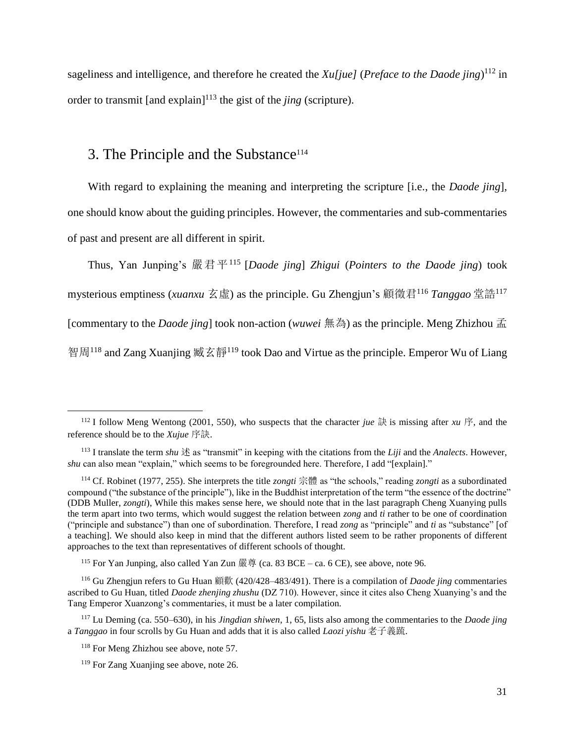sageliness and intelligence, and therefore he created the *Xu[jue]* (*Preface to the Daode jing*) <sup>112</sup> in order to transmit  $\lceil \text{and explain} \rceil^{113}$  the gist of the *jing* (scripture).

### <span id="page-30-0"></span>3. The Principle and the Substance<sup>114</sup>

With regard to explaining the meaning and interpreting the scripture [i.e., the *Daode jing*], one should know about the guiding principles. However, the commentaries and sub-commentaries of past and present are all different in spirit.

Thus, Yan Junping's 嚴君平<sup>115</sup> [*Daode jing*] *Zhigui* (*Pointers to the Daode jing*) took mysterious emptiness (*xuanxu* 玄虛) as the principle. Gu Zhengjun's 顧徵君<sup>116</sup> *Tanggao* 堂誥<sup>117</sup> [commentary to the *Daode jing*] took non-action (*wuwei* 無為) as the principle. Meng Zhizhou 孟 智周<sup>118</sup> and Zang Xuanjing 臧玄靜<sup>119</sup> took Dao and Virtue as the principle. Emperor Wu of Liang

<sup>&</sup>lt;sup>112</sup> I follow Meng Wentong (2001, 550), who suspects that the character *jue* 訣 is missing after *xu* 序, and the reference should be to the *Xujue* 序訣.

<sup>&</sup>lt;sup>113</sup> I translate the term *shu*  $\ddot{\mathcal{X}}$  as "transmit" in keeping with the citations from the *Liji* and the *Analects*. However, *shu* can also mean "explain," which seems to be foregrounded here. Therefore, I add "[explain]."

<sup>114</sup> Cf. Robinet (1977, 255). She interprets the title *zongti* 宗體 as "the schools," reading *zongti* as a subordinated compound ("the substance of the principle"), like in the Buddhist interpretation of the term "the essence of the doctrine" (DDB Muller, *zongti*), While this makes sense here, we should note that in the last paragraph Cheng Xuanying pulls the term apart into two terms, which would suggest the relation between *zong* and *ti* rather to be one of coordination ("principle and substance") than one of subordination. Therefore, I read *zong* as "principle" and *ti* as "substance" [of a teaching]. We should also keep in mind that the different authors listed seem to be rather proponents of different approaches to the text than representatives of different schools of thought.

<sup>&</sup>lt;sup>115</sup> For Yan Junping, also called Yan Zun 嚴尊 (ca. 83 BCE – ca. 6 CE), see above, note 96.

<sup>116</sup> Gu Zhengjun refers to Gu Huan 顧歡 (420/428–483/491). There is a compilation of *Daode jing* commentaries ascribed to Gu Huan, titled *Daode zhenjing zhushu* (DZ 710). However, since it cites also Cheng Xuanying's and the Tang Emperor Xuanzong's commentaries, it must be a later compilation.

<sup>117</sup> Lu Deming (ca. 550–630), in his *Jingdian shiwen*, 1, 65, lists also among the commentaries to the *Daode jing* a *Tanggao* in four scrolls by Gu Huan and adds that it is also called *Laozi yishu* 老子義䟽.

<sup>118</sup> For Meng Zhizhou see above, note 57.

<sup>&</sup>lt;sup>119</sup> For Zang Xuanjing see above, note 26.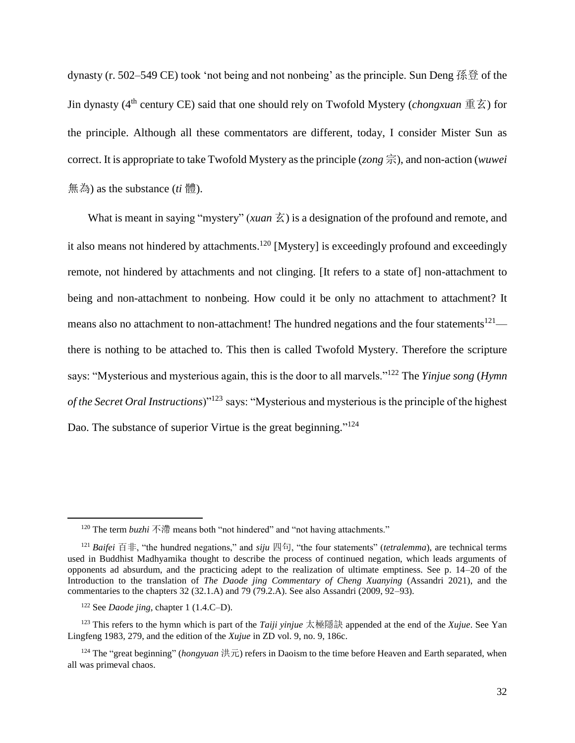dynasty (r. 502–549 CE) took 'not being and not nonbeing' as the principle. Sun Deng 孫登 of the Jin dynasty (4th century CE) said that one should rely on Twofold Mystery (*chongxuan* 重玄) for the principle. Although all these commentators are different, today, I consider Mister Sun as correct. It is appropriate to take Twofold Mystery as the principle (*zong* 宗), and non-action (*wuwei* 無為) as the substance (*ti* 體).

What is meant in saying "mystery" (*xuan*  $\overline{\mathcal{Z}}$ ) is a designation of the profound and remote, and it also means not hindered by attachments.<sup>120</sup> [Mystery] is exceedingly profound and exceedingly remote, not hindered by attachments and not clinging. [It refers to a state of] non-attachment to being and non-attachment to nonbeing. How could it be only no attachment to attachment? It means also no attachment to non-attachment! The hundred negations and the four statements<sup>121</sup> there is nothing to be attached to. This then is called Twofold Mystery. Therefore the scripture says: "Mysterious and mysterious again, this is the door to all marvels."<sup>122</sup> The *Yinjue song* (*Hymn of the Secret Oral Instructions*)"<sup>123</sup> says: "Mysterious and mysterious is the principle of the highest Dao. The substance of superior Virtue is the great beginning."<sup>124</sup>

<sup>&</sup>lt;sup>120</sup> The term *buzhi* 不滯 means both "not hindered" and "not having attachments."

<sup>&</sup>lt;sup>121</sup> *Baifei* 百非, "the hundred negations," and *siju* 四句, "the four statements" (*tetralemma*), are technical terms used in Buddhist Madhyamika thought to describe the process of continued negation, which leads arguments of opponents ad absurdum, and the practicing adept to the realization of ultimate emptiness. See p. 14–20 of the Introduction to the translation of *The Daode jing Commentary of Cheng Xuanying* (Assandri 2021), and the commentaries to the chapters 32 (32.1.A) and 79 (79.2.A). See also Assandri (2009, 92–93).

<sup>122</sup> See *Daode jing,* chapter 1 (1.4.C–D).

<sup>123</sup> This refers to the hymn which is part of the *Taiji yinjue* 太極隱訣 appended at the end of the *Xujue*. See Yan Lingfeng 1983, 279, and the edition of the *Xujue* in ZD vol. 9, no. 9, 186c.

<sup>&</sup>lt;sup>124</sup> The "great beginning" (*hongyuan* 洪元) refers in Daoism to the time before Heaven and Earth separated, when all was primeval chaos.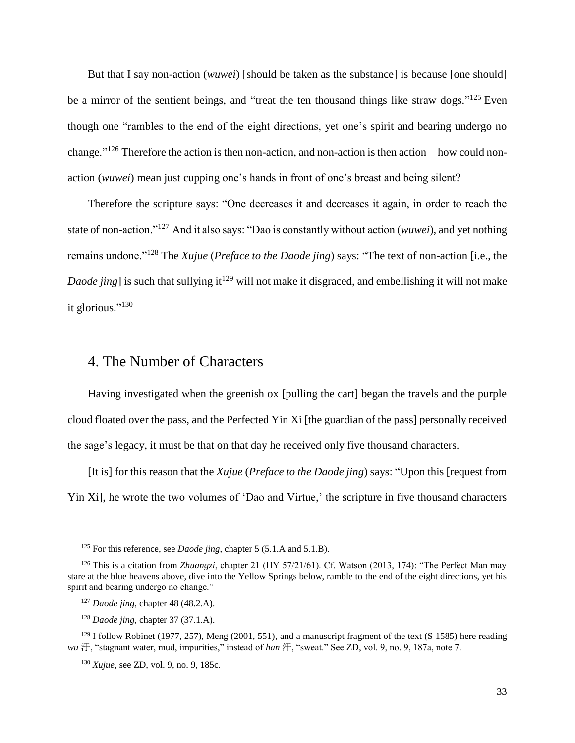But that I say non-action (*wuwei*) [should be taken as the substance] is because [one should] be a mirror of the sentient beings, and "treat the ten thousand things like straw dogs."<sup>125</sup> Even though one "rambles to the end of the eight directions, yet one's spirit and bearing undergo no change."<sup>126</sup> Therefore the action is then non-action, and non-action is then action—how could nonaction (*wuwei*) mean just cupping one's hands in front of one's breast and being silent?

Therefore the scripture says: "One decreases it and decreases it again, in order to reach the state of non-action."<sup>127</sup> And it also says: "Dao is constantly without action (*wuwei*), and yet nothing remains undone."<sup>128</sup> The *Xujue* (*Preface to the Daode jing*) says: "The text of non-action [i.e., the *Daode jing* is such that sullying it<sup>129</sup> will not make it disgraced, and embellishing it will not make it glorious."<sup>130</sup>

#### <span id="page-32-0"></span>4. The Number of Characters

Having investigated when the greenish ox [pulling the cart] began the travels and the purple cloud floated over the pass, and the Perfected Yin Xi [the guardian of the pass] personally received the sage's legacy, it must be that on that day he received only five thousand characters.

[It is] for this reason that the *Xujue* (*Preface to the Daode jing*) says: "Upon this [request from Yin Xi], he wrote the two volumes of 'Dao and Virtue,' the scripture in five thousand characters

<sup>125</sup> For this reference, see *Daode jing*, chapter 5 (5.1.A and 5.1.B).

<sup>126</sup> This is a citation from *Zhuangzi*, chapter 21 (HY 57/21/61). Cf. Watson (2013, 174): "The Perfect Man may stare at the blue heavens above, dive into the Yellow Springs below, ramble to the end of the eight directions, yet his spirit and bearing undergo no change."

<sup>127</sup> *Daode jing*, chapter 48 (48.2.A).

<sup>128</sup> *Daode jing,* chapter 37 (37.1.A).

 $129$  I follow Robinet (1977, 257), Meng (2001, 551), and a manuscript fragment of the text (S 1585) here reading *wu* 汙, "stagnant water, mud, impurities," instead of *han* 汗, "sweat." See ZD, vol. 9, no. 9, 187a, note 7.

<sup>130</sup> *Xujue*, see ZD, vol. 9, no. 9, 185c.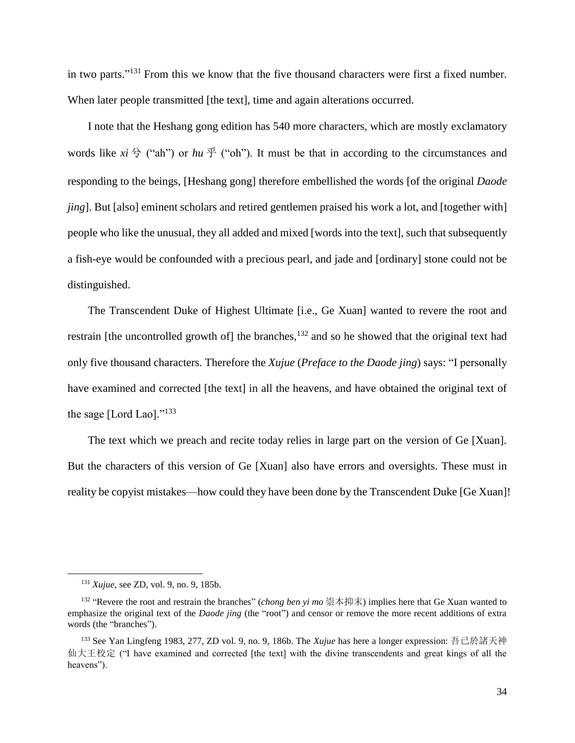in two parts."<sup>131</sup> From this we know that the five thousand characters were first a fixed number. When later people transmitted [the text], time and again alterations occurred.

I note that the Heshang gong edition has 540 more characters, which are mostly exclamatory words like  $xi \notin$  ("ah") or  $hu \notin$  ("oh"). It must be that in according to the circumstances and responding to the beings, [Heshang gong] therefore embellished the words [of the original *Daode jing*]. But [also] eminent scholars and retired gentlemen praised his work a lot, and [together with] people who like the unusual, they all added and mixed [words into the text], such that subsequently a fish-eye would be confounded with a precious pearl, and jade and [ordinary] stone could not be distinguished.

The Transcendent Duke of Highest Ultimate [i.e., Ge Xuan] wanted to revere the root and restrain [the uncontrolled growth of] the branches,<sup>132</sup> and so he showed that the original text had only five thousand characters. Therefore the *Xujue* (*Preface to the Daode jing*) says: "I personally have examined and corrected [the text] in all the heavens, and have obtained the original text of the sage [Lord Lao]."<sup>133</sup>

The text which we preach and recite today relies in large part on the version of Ge [Xuan]. But the characters of this version of Ge [Xuan] also have errors and oversights. These must in reality be copyist mistakes—how could they have been done by the Transcendent Duke [Ge Xuan]!

<sup>131</sup> *Xujue*, see ZD, vol. 9, no. 9, 185b.

<sup>132</sup> "Revere the root and restrain the branches" (*chong ben yi mo* 崇本抑末) implies here that Ge Xuan wanted to emphasize the original text of the *Daode jing* (the "root") and censor or remove the more recent additions of extra words (the "branches").

<sup>133</sup> See Yan Lingfeng 1983, 277, ZD vol. 9, no. 9, 186b. The *Xujue* has here a longer expression: 吾已於諸天神 仙大王校定 ("I have examined and corrected [the text] with the divine transcendents and great kings of all the heavens").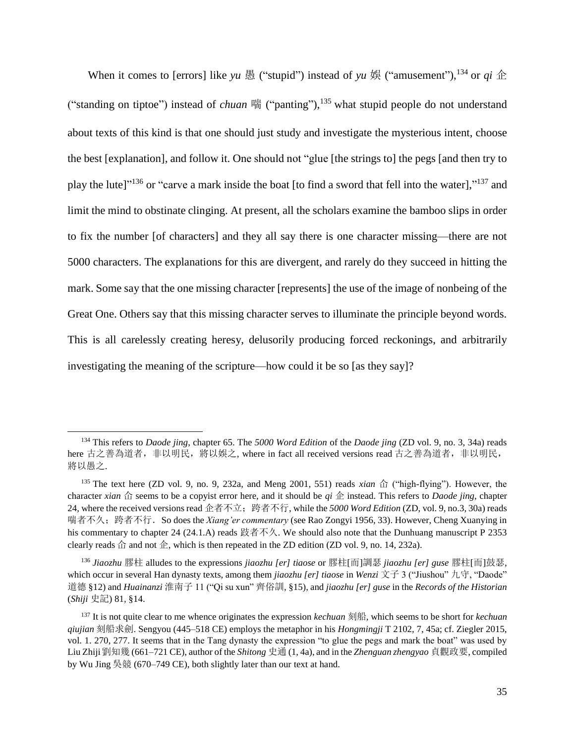When it comes to [errors] like *yu* 愚 ("stupid") instead of *yu* 娛 ("amusement"),<sup>134</sup> or *qi* 企 ("standing on tiptoe") instead of *chuan* 喘 ("panting"), <sup>135</sup> what stupid people do not understand about texts of this kind is that one should just study and investigate the mysterious intent, choose the best [explanation], and follow it. One should not "glue [the strings to] the pegs [and then try to play the lute]<sup>136</sup> or "carve a mark inside the boat [to find a sword that fell into the water],<sup>137</sup> and limit the mind to obstinate clinging. At present, all the scholars examine the bamboo slips in order to fix the number [of characters] and they all say there is one character missing—there are not 5000 characters. The explanations for this are divergent, and rarely do they succeed in hitting the mark. Some say that the one missing character [represents] the use of the image of nonbeing of the Great One. Others say that this missing character serves to illuminate the principle beyond words. This is all carelessly creating heresy, delusorily producing forced reckonings, and arbitrarily investigating the meaning of the scripture—how could it be so [as they say]?

<sup>134</sup> This refers to *Daode jing*, chapter 65. The *5000 Word Edition* of the *Daode jing* (ZD vol. 9, no. 3, 34a) reads here 古之善為道者, 非以明民, 將以娛之, where in fact all received versions read 古之善為道者, 非以明民, 將以愚之.

<sup>135</sup> The text here (ZD vol. 9, no. 9, 232a, and Meng 2001, 551) reads *xian*  $\hat{\alpha}$  ("high-flying"). However, the character *xian*  $\hat{\alpha}$  seems to be a copyist error here, and it should be *qi*  $\hat{\alpha}$  instead. This refers to *Daode jing*, chapter 24, where the received versions read 企者不立;跨者不行, while the *5000 Word Edition* (ZD, vol. 9, no.3, 30a) reads 喘者不久;跨者不行.So does the *Xiang'er commentary* (see Rao Zongyi 1956, 33). However, Cheng Xuanying in his commentary to chapter 24 (24.1.A) reads 跂者不久. We should also note that the Dunhuang manuscript P 2353 clearly reads  $\hat{\alpha}$  and not  $\hat{\alpha}$ , which is then repeated in the ZD edition (ZD vol. 9, no. 14, 232a).

<sup>136</sup> *Jiaozhu* 膠柱 alludes to the expressions *jiaozhu [er] tiaose* or 膠柱[而]調瑟 *jiaozhu [er] guse* 膠柱[而]鼓瑟, which occur in several Han dynasty texts, among them *jiaozhu [er] tiaose* in *Wenzi* 文子 3 ("Jiushou" 九守, "Daode" 道德 §12) and *Huainanzi* 淮南子 11 ("Qi su xun" 齊俗訓, §15), and *jiaozhu [er] guse* in the *Records of the Historian* (*Shiji* 史記) 81, §14.

<sup>137</sup> It is not quite clear to me whence originates the expression *kechuan* 刻船*,* which seems to be short for *kechuan qiujian* 刻船求劍. Sengyou (445–518 CE) employs the metaphor in his *Hongmingji* T 2102, 7, 45a; cf. Ziegler 2015, vol. 1. 270, 277. It seems that in the Tang dynasty the expression "to glue the pegs and mark the boat" was used by Liu Zhiji劉知幾 (661–721 CE), author of the *Shitong* 史通 (1, 4a), and in the *Zhenguan zhengyao* 貞觀政要, compiled by Wu Jing 吳競 (670–749 CE), both slightly later than our text at hand.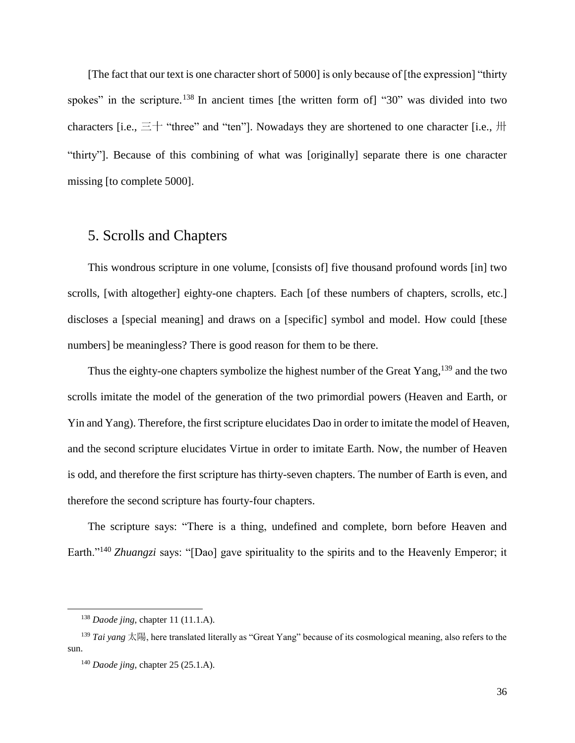[The fact that our text is one character short of 5000] is only because of [the expression] "thirty spokes" in the scripture.<sup>138</sup> In ancient times [the written form of] "30" was divided into two characters [i.e.,  $\equiv$  + "three" and "ten"]. Nowadays they are shortened to one character [i.e.,  $\#$ "thirty"]. Because of this combining of what was [originally] separate there is one character missing [to complete 5000].

### <span id="page-35-0"></span>5. Scrolls and Chapters

This wondrous scripture in one volume, [consists of] five thousand profound words [in] two scrolls, [with altogether] eighty-one chapters. Each [of these numbers of chapters, scrolls, etc.] discloses a [special meaning] and draws on a [specific] symbol and model. How could [these numbers] be meaningless? There is good reason for them to be there.

Thus the eighty-one chapters symbolize the highest number of the Great Yang,<sup>139</sup> and the two scrolls imitate the model of the generation of the two primordial powers (Heaven and Earth, or Yin and Yang). Therefore, the first scripture elucidates Dao in order to imitate the model of Heaven, and the second scripture elucidates Virtue in order to imitate Earth. Now, the number of Heaven is odd, and therefore the first scripture has thirty-seven chapters. The number of Earth is even, and therefore the second scripture has fourty-four chapters.

The scripture says: "There is a thing, undefined and complete, born before Heaven and Earth."<sup>140</sup> *Zhuangzi* says: "[Dao] gave spirituality to the spirits and to the Heavenly Emperor; it

<sup>138</sup> *Daode jing*, chapter 11 (11.1.A).

<sup>139</sup> *Tai yang* 太陽, here translated literally as "Great Yang" because of its cosmological meaning, also refers to the sun.

<sup>140</sup> *Daode jing*, chapter 25 (25.1.A).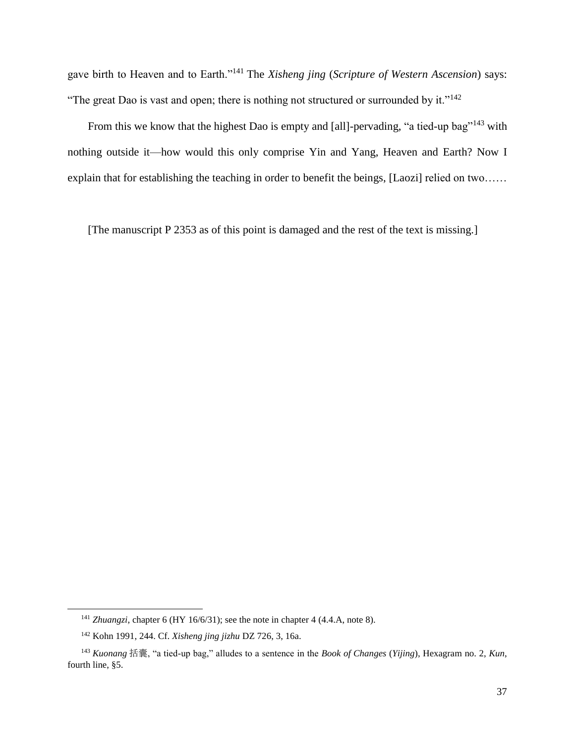gave birth to Heaven and to Earth."<sup>141</sup> The *Xisheng jing* (*Scripture of Western Ascension*) says: "The great Dao is vast and open; there is nothing not structured or surrounded by it."<sup>142</sup>

From this we know that the highest Dao is empty and [all]-pervading, "a tied-up bag"<sup>143</sup> with nothing outside it—how would this only comprise Yin and Yang, Heaven and Earth? Now I explain that for establishing the teaching in order to benefit the beings, [Laozi] relied on two……

[The manuscript P 2353 as of this point is damaged and the rest of the text is missing.]

<sup>&</sup>lt;sup>141</sup> *Zhuangzi*, chapter 6 (HY 16/6/31); see the note in chapter 4 (4.4.A, note 8).

<sup>142</sup> Kohn 1991, 244. Cf. *Xisheng jing jizhu* DZ 726, 3, 16a.

<sup>143</sup> *Kuonang* 括囊, "a tied-up bag," alludes to a sentence in the *Book of Changes* (*Yijing*), Hexagram no. 2, *Kun*, fourth line, §5.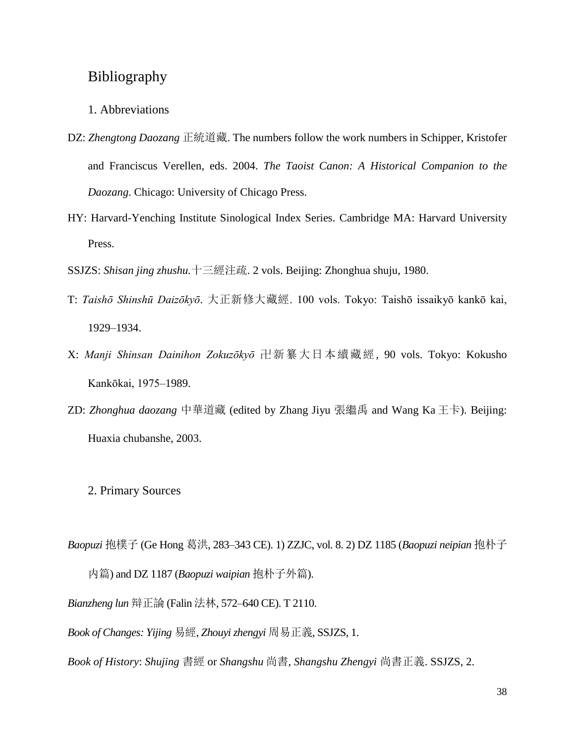### <span id="page-37-0"></span>Bibliography

#### <span id="page-37-1"></span>1. Abbreviations

- DZ: *Zhengtong Daozang* 正統道藏. The numbers follow the work numbers in Schipper, Kristofer and Franciscus Verellen, eds. 2004. *The Taoist Canon: A Historical Companion to the Daozang*. Chicago: University of Chicago Press.
- HY: Harvard-Yenching Institute Sinological Index Series*.* Cambridge MA: Harvard University Press.
- SSJZS: *Shisan jing zhushu.*十三經注疏. 2 vols. Beijing: Zhonghua shuju, 1980.
- T: *Taishō Shinshū Daizōkyō*. 大正新修大藏經. 100 vols. Tokyo: Taishō issaikyō kankō kai, 1929–1934.
- X: *Manji Shinsan Dainihon Zokuzōkyō* 卍新纂大日本續藏經, 90 vols. Tokyo: Kokusho Kankōkai, 1975–1989.
- ZD: *Zhonghua daozang* 中華道藏 (edited by Zhang Jiyu 張繼禹 and Wang Ka 王卡). Beijing: Huaxia chubanshe, 2003.
	- 2. Primary Sources
- <span id="page-37-2"></span>*Baopuzi* 抱樸子 (Ge Hong 葛洪, 283–343 CE). 1) ZZJC, vol. 8. 2) DZ 1185 (*Baopuzi neipian* 抱朴子 内篇) and DZ 1187 (*Baopuzi waipian* 抱朴子外篇).

*Bianzheng lun* 辩正論 (Falin 法林, 572–640 CE). T 2110.

*Book of Changes: Yijing* 易經, *Zhouyi zhengyi* 周易正義, SSJZS, 1.

*Book of History*: *Shujing* 書經 or *Shangshu* 尚書, *Shangshu Zhengyi* 尚書正義. SSJZS, 2.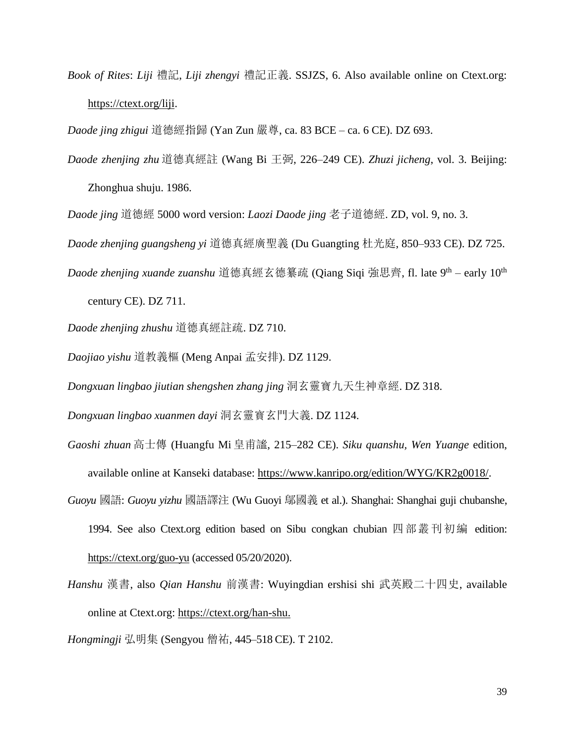*Book of Rites*: *Liji* 禮記, *Liji zhengyi* 禮記正義. SSJZS, 6. Also available online on Ctext.org: [https://ctext.org/liji.](https://ctext.org/liji)

*Daode jing zhigui* 道德經指歸 (Yan Zun 嚴尊, ca. 83 BCE – ca. 6 CE). DZ 693.

*Daode zhenjing zhu* 道德真經註 (Wang Bi 王弼, 226–249 CE). *Zhuzi jicheng*, vol. 3. Beijing:

Zhonghua shuju. 1986.

*Daode jing* 道德經 5000 word version: *Laozi Daode jing* 老子道德經. ZD, vol. 9, no. 3.

*Daode zhenjing guangsheng yi* 道德真經廣聖義 (Du Guangting 杜光庭, 850–933 CE). DZ 725.

*Daode zhenjing xuande zuanshu* 道德真經玄德纂疏 (Qiang Siqi 強思齊, fl. late 9<sup>th</sup> – early 10<sup>th</sup>

century CE). DZ 711.

*Daode zhenjing zhushu* 道德真經註疏. DZ 710.

*Daojiao yishu* 道教義樞 (Meng Anpai 孟安排). DZ 1129.

*Dongxuan lingbao jiutian shengshen zhang jing* 洞玄靈寶九天生神章經. DZ 318.

*Dongxuan lingbao xuanmen dayi* 洞玄靈寳玄門大義. DZ 1124.

- *Gaoshi zhuan* 高士傳 (Huangfu Mi 皇甫謐, 215–282 CE). *Siku quanshu, Wen Yuange* edition, available online at Kanseki database: [https://www.kanripo.org/edition/WYG/KR2g0018/.](https://www.kanripo.org/edition/WYG/KR2g0018/)
- *Guoyu* 國語: *Guoyu yizhu* 國語譯注 (Wu Guoyi 鄔國義 et al.). Shanghai: Shanghai guji chubanshe, 1994. See also Ctext.org edition based on Sibu congkan chubian 四部叢刊初編 edition: <https://ctext.org/guo-yu> (accessed 05/20/2020).
- *Hanshu* 漢書, also *Qian Hanshu* 前漢書: Wuyingdian ershisi shi 武英殿二十四史, available online at Ctext.org: [https://ctext.org/han-shu.](https://ctext.org/han-shu)

*Hongmingji* 弘明集 (Sengyou 僧祐, 445–518 CE). T 2102.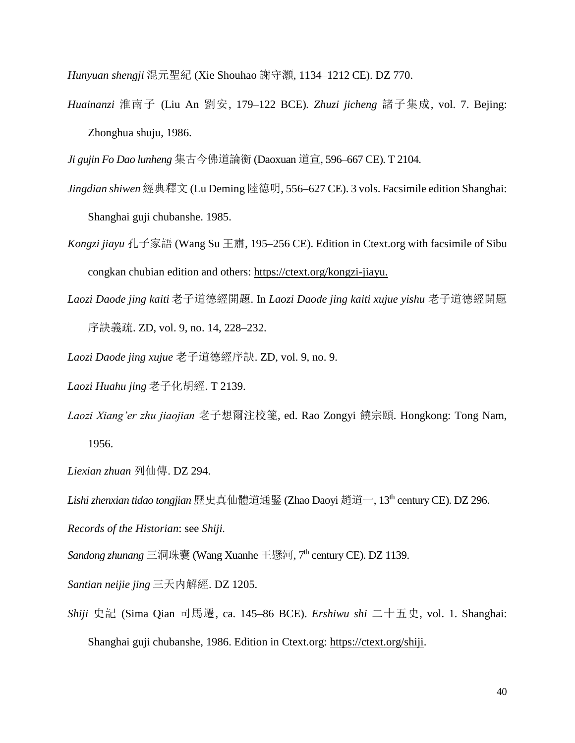*Hunyuan shengji* 混元聖紀 (Xie Shouhao 謝守灝, 1134–1212 CE). DZ 770.

*Huainanzi* 淮南子 (Liu An 劉安, 179–122 BCE)*. Zhuzi jicheng* 諸子集成*,* vol. 7. Bejing: Zhonghua shuju, 1986.

*Ji gujin Fo Dao lunheng* 集古今佛道論衡 (Daoxuan 道宣, 596–667 CE). T 2104.

- *Jingdian shiwen* 經典釋文 (Lu Deming 陸德明, 556–627 CE). 3 vols. Facsimile edition Shanghai: Shanghai guji chubanshe. 1985.
- *Kongzi jiayu* 孔子家語 (Wang Su 王肅, 195–256 CE). Edition in Ctext.org with facsimile of Sibu congkan chubian edition and others: [https://ctext.org/kongzi-jiayu.](https://ctext.org/kongzi-jiayu)
- *Laozi Daode jing kaiti* 老子道德經開題. In *Laozi Daode jing kaiti xujue yishu* 老子道德經開題 序訣義疏. ZD, vol. 9, no. 14, 228–232.
- *Laozi Daode jing xujue* 老子道德經序訣. ZD, vol. 9, no. 9.
- *Laozi Huahu jing* 老子化胡經. T 2139.
- *Laozi Xiang'er zhu jiaojian* 老子想爾注校箋, ed. Rao Zongyi 饒宗頤. Hongkong: Tong Nam, 1956.
- *Liexian zhuan* 列仙傳. DZ 294.

*Lishi zhenxian tidao tongjian* 歷史真仙體道通鋻 (Zhao Daoyi 趙道一, 13th century CE). DZ 296.

*Records of the Historian*: see *Shiji.*

*Sandong zhunang* 三洞珠囊 (Wang Xuanhe 王懸河, 7<sup>th</sup> century CE). DZ 1139.

*Santian neijie jing* 三天内解經. DZ 1205.

*Shiji* 史記 (Sima Qian 司馬遷, ca. 145–86 BCE). *Ershiwu shi* 二十五史, vol. 1. Shanghai: Shanghai guji chubanshe, 1986. Edition in Ctext.org: [https://ctext.org/shiji.](https://ctext.org/shiji)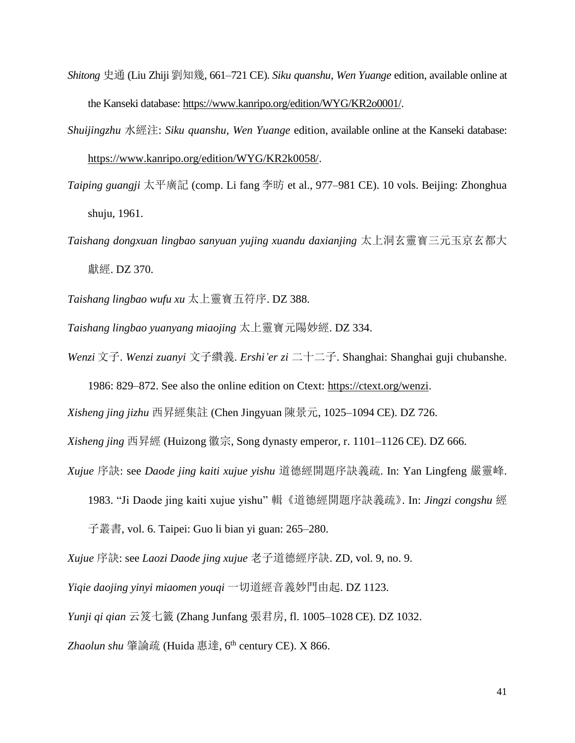- *Shitong* 史通 (Liu Zhiji 劉知幾, 661–721 CE). *Siku quanshu, Wen Yuange* edition, available online at the Kanseki database: [https://www.kanripo.org/edition/WYG/KR2o0001/.](https://www.kanripo.org/edition/WYG/KR2o0001/)
- *Shuijingzhu* 水經注: *Siku quanshu, Wen Yuange* edition, available online at the Kanseki database:

[https://www.kanripo.org/edition/WYG/KR2k0058/.](https://www.kanripo.org/edition/WYG/KR2k0058/)

- *Taiping guangji* 太平廣記 (comp. Li fang 李昉 et al., 977–981 CE). 10 vols. Beijing: Zhonghua shuju, 1961.
- *Taishang dongxuan lingbao sanyuan yujing xuandu daxianjing* 太上洞玄靈寳三元玉京玄都大 獻經. DZ 370.

*Taishang lingbao wufu xu* 太上靈寶五符序. DZ 388.

*Taishang lingbao yuanyang miaojing* 太上靈寶元陽妙經. DZ 334.

*Wenzi* 文子. *Wenzi zuanyi* 文子纘義. *Ershi'er zi* 二十二子. Shanghai: Shanghai guji chubanshe.

1986: 829–872. See also the online edition on Ctext: [https://ctext.org/wenzi.](https://ctext.org/wenzi)

*Xisheng jing jizhu* 西昇經集註 (Chen Jingyuan 陳景元, 1025–1094 CE). DZ 726.

*Xisheng jing* 西昇經 (Huizong 徽宗, Song dynasty emperor, r. 1101–1126 CE). DZ 666.

- *Xujue* 序訣: see *Daode jing kaiti xujue yishu* 道德經開題序訣義疏. In: Yan Lingfeng 嚴靈峰.
	- 1983. "Ji Daode jing kaiti xujue yishu" 輯《道德經開題序訣義疏》. In: *Jingzi congshu* 經

子叢書, vol. 6. Taipei: Guo li bian yi guan: 265–280.

*Xujue* 序訣: see *Laozi Daode jing xujue* 老子道德經序訣. ZD, vol. 9, no. 9.

*Yiqie daojing yinyi miaomen youqi* 一切道經音義妙門由起. DZ 1123.

*Yunji qi qian* 云笈七籤 (Zhang Junfang 張君房, fl. 1005–1028 CE). DZ 1032.

*Zhaolun shu* 肇論疏 (Huida 惠達, 6 th century CE). X 866.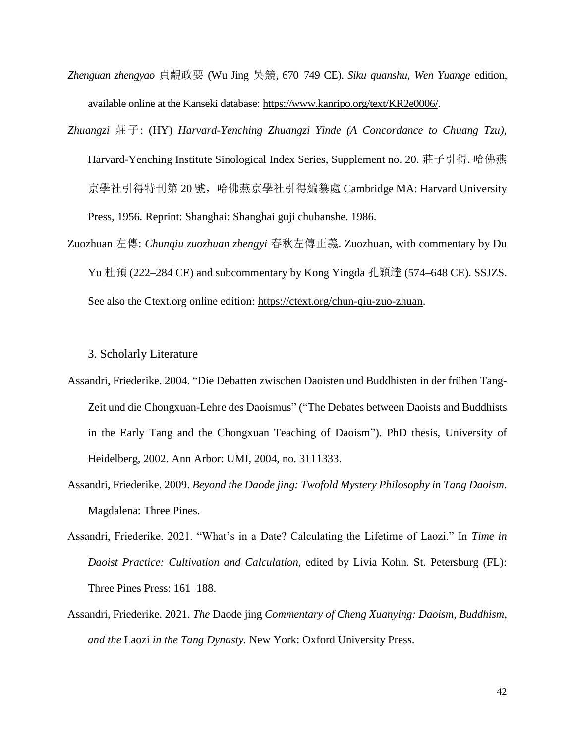- *Zhenguan zhengyao* 貞觀政要 (Wu Jing 吳競, 670–749 CE). *Siku quanshu, Wen Yuange* edition, available online at the Kanseki database: [https://www.kanripo.org/text/KR2e0006/.](https://www.kanripo.org/text/KR2e0006/)
- *Zhuangzi* 莊子: (HY) *Harvard-Yenching Zhuangzi Yinde (A Concordance to Chuang Tzu),*  Harvard-Yenching Institute Sinological Index Series, Supplement no. 20*.* 莊子引得. 哈佛燕 京學社引得特刊第 20 號,哈佛燕京學社引得編纂處 Cambridge MA: Harvard University Press, 1956*.* Reprint: Shanghai: Shanghai guji chubanshe. 1986.
- Zuozhuan 左傳: *Chunqiu zuozhuan zhengyi* 春秋左傳正義. Zuozhuan, with commentary by Du Yu 杜預 (222–284 CE) and subcommentary by Kong Yingda 孔穎達 (574–648 CE). SSJZS. See also the Ctext.org online edition: [https://ctext.org/chun-qiu-zuo-zhuan.](https://ctext.org/chun-qiu-zuo-zhuan)

<span id="page-41-0"></span>3. Scholarly Literature

- Assandri, Friederike. 2004. "Die Debatten zwischen Daoisten und Buddhisten in der frühen Tang-Zeit und die Chongxuan-Lehre des Daoismus" ("The Debates between Daoists and Buddhists in the Early Tang and the Chongxuan Teaching of Daoism"). PhD thesis, University of Heidelberg, 2002. Ann Arbor: UMI, 2004, no. 3111333.
- Assandri, Friederike. 2009. *Beyond the Daode jing: Twofold Mystery Philosophy in Tang Daoism*. Magdalena: Three Pines.
- Assandri, Friederike. 2021. "What's in a Date? Calculating the Lifetime of Laozi." In *Time in Daoist Practice: Cultivation and Calculation,* edited by Livia Kohn. St. Petersburg (FL): Three Pines Press: 161–188.
- Assandri, Friederike. 2021. *The* Daode jing *Commentary of Cheng Xuanying: Daoism, Buddhism, and the* Laozi *in the Tang Dynasty.* New York: Oxford University Press.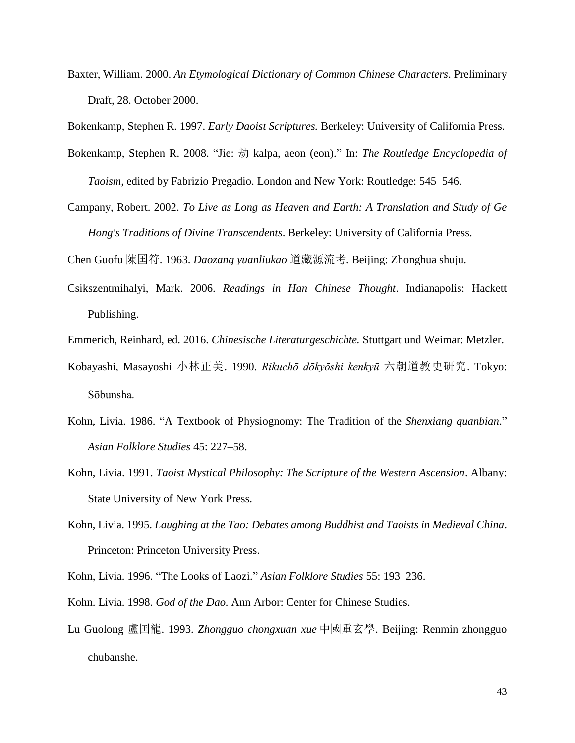Baxter, William. 2000. *An Etymological Dictionary of Common Chinese Characters*. Preliminary Draft, 28. October 2000.

Bokenkamp, Stephen R. 1997. *Early Daoist Scriptures.* Berkeley: University of California Press.

- Bokenkamp, Stephen R. 2008. "Jie: 劫 kalpa, aeon (eon)." In: *The Routledge Encyclopedia of Taoism,* edited by Fabrizio Pregadio. London and New York: Routledge: 545–546.
- Campany, Robert. 2002. *To Live as Long as Heaven and Earth: A Translation and Study of Ge Hong's Traditions of Divine Transcendents*. Berkeley: University of California Press.

Chen Guofu 陳囯符. 1963. *Daozang yuanliukao* 道藏源流考*.* Beijing: Zhonghua shuju.

- Csikszentmihalyi, Mark. 2006. *Readings in Han Chinese Thought*. Indianapolis: Hackett Publishing.
- Emmerich, Reinhard, ed. 2016. *Chinesische Literaturgeschichte.* Stuttgart und Weimar: Metzler.
- Kobayashi, Masayoshi 小林正美. 1990. *Rikuchō dōkyōshi kenkyū* 六朝道教史研究. Tokyo: Sōbunsha.
- Kohn, Livia. 1986. "A Textbook of Physiognomy: The Tradition of the *Shenxiang quanbian*." *Asian Folklore Studies* 45: 227–58.
- Kohn, Livia. 1991. *Taoist Mystical Philosophy: The Scripture of the Western Ascension*. Albany: State University of New York Press.
- Kohn, Livia. 1995. *Laughing at the Tao: Debates among Buddhist and Taoists in Medieval China*. Princeton: Princeton University Press.
- Kohn, Livia. 1996. "The Looks of Laozi." *Asian Folklore Studies* 55: 193–236.
- Kohn. Livia. 1998. *God of the Dao.* Ann Arbor: Center for Chinese Studies.
- Lu Guolong 盧囯龍. 1993. *Zhongguo chongxuan xue* 中國重玄學. Beijing: Renmin zhongguo chubanshe.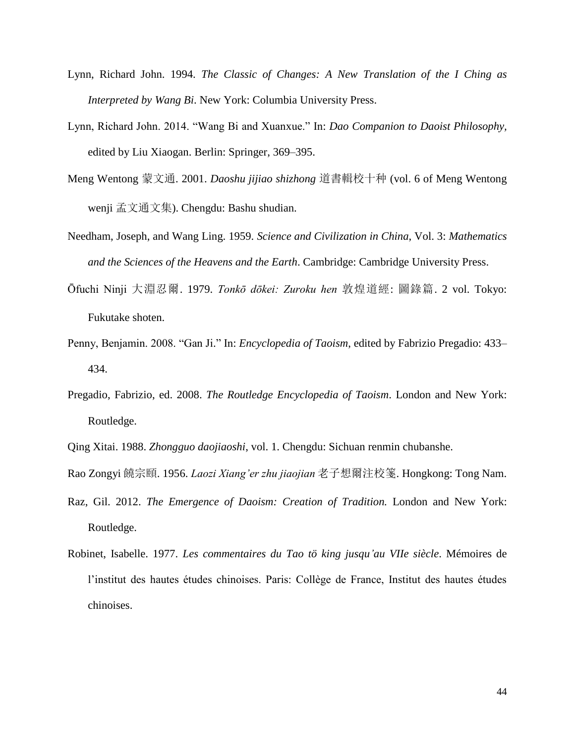- Lynn, Richard John. 1994. *The Classic of Changes: A New Translation of the I Ching as Interpreted by Wang Bi*. New York: Columbia University Press.
- Lynn, Richard John. 2014. "Wang Bi and Xuanxue." In: *Dao Companion to Daoist Philosophy,*  edited by Liu Xiaogan. Berlin: Springer, 369–395.
- Meng Wentong 蒙文通. 2001. *Daoshu jijiao shizhong* 道書輯校十种 (vol. 6 of Meng Wentong wenji 孟文通文集). Chengdu: Bashu shudian.
- Needham, Joseph, and Wang Ling. 1959. *Science and Civilization in China*, Vol. 3: *Mathematics and the Sciences of the Heavens and the Earth*. Cambridge: Cambridge University Press.
- Ōfuchi Ninji 大淵忍爾. 1979. *Tonkō dōkei: Zuroku hen* 敦煌道經: 圖錄篇. 2 vol. Tokyo: Fukutake shoten.
- Penny, Benjamin. 2008. "Gan Ji." In: *Encyclopedia of Taoism*, edited by Fabrizio Pregadio: 433– 434.
- Pregadio, Fabrizio, ed. 2008. *The Routledge Encyclopedia of Taoism*. London and New York: Routledge.
- Qing Xitai. 1988. *Zhongguo daojiaoshi*, vol. 1. Chengdu: Sichuan renmin chubanshe.
- Rao Zongyi 饒宗頤. 1956. *Laozi Xiang'er zhu jiaojian* 老子想爾注校箋. Hongkong: Tong Nam.
- Raz, Gil. 2012. *The Emergence of Daoism: Creation of Tradition.* London and New York: Routledge.
- Robinet, Isabelle. 1977. *Les commentaires du Tao tö king jusqu'au VIIe siècle*. Mémoires de l'institut des hautes études chinoises. Paris: Collège de France, Institut des hautes études chinoises.